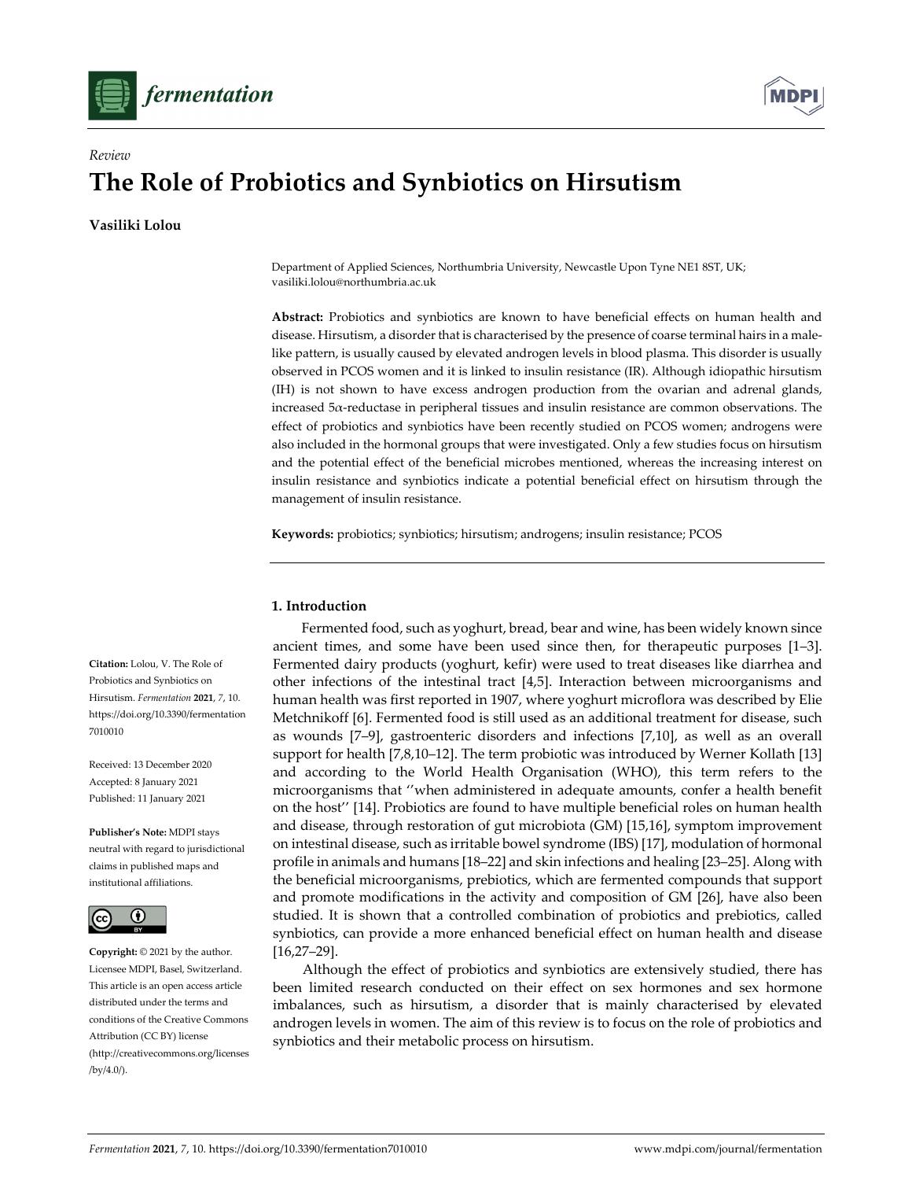



# **The Role of Probiotics and Synbiotics on Hirsutism**

**Vasiliki Lolou**

*Review*

Department of Applied Sciences, Northumbria University, Newcastle Upon Tyne NE1 8ST, UK; vasiliki.lolou@northumbria.ac.uk

**Abstract:** Probiotics and synbiotics are known to have beneficial effects on human health and disease. Hirsutism, a disorder that is characterised by the presence of coarse terminal hairs in a malelike pattern, is usually caused by elevated androgen levels in blood plasma. This disorder is usually observed in PCOS women and it is linked to insulin resistance (IR). Although idiopathic hirsutism (IH) is not shown to have excess androgen production from the ovarian and adrenal glands, increased 5a-reductase in peripheral tissues and insulin resistance are common observations. The effect of probiotics and synbiotics have been recently studied on PCOS women; androgens were also included in the hormonal groups that were investigated. Only a few studies focus on hirsutism and the potential effect of the beneficial microbes mentioned, whereas the increasing interest on insulin resistance and synbiotics indicate a potential beneficial effect on hirsutism through the management of insulin resistance.

**Keywords:** probiotics; synbiotics; hirsutism; androgens; insulin resistance; PCOS

## **1. Introduction**

Fermented food, such as yoghurt, bread, bear and wine, has been widely known since ancient times, and some have been used since then, for therapeutic purposes [1–3]. Fermented dairy products (yoghurt, kefir) were used to treat diseases like diarrhea and other infections of the intestinal tract [4,5]. Interaction between microorganisms and human health was first reported in 1907, where yoghurt microflora was described by Elie Metchnikoff [6]. Fermented food is still used as an additional treatment for disease, such as wounds [7–9], gastroenteric disorders and infections [7,10], as well as an overall support for health [7,8,10–12]. The term probiotic was introduced by Werner Kollath [13] and according to the World Health Organisation (WHO), this term refers to the microorganisms that ''when administered in adequate amounts, confer a health benefit on the host'' [14]. Probiotics are found to have multiple beneficial roles on human health and disease, through restoration of gut microbiota (GM) [15,16], symptom improvement on intestinal disease, such as irritable bowel syndrome (IBS) [17], modulation of hormonal profile in animals and humans [18–22] and skin infections and healing [23–25]. Along with the beneficial microorganisms, prebiotics, which are fermented compounds that support and promote modifications in the activity and composition of GM [26], have also been studied. It is shown that a controlled combination of probiotics and prebiotics, called synbiotics, can provide a more enhanced beneficial effect on human health and disease [16,27–29].

Although the effect of probiotics and synbiotics are extensively studied, there has been limited research conducted on their effect on sex hormones and sex hormone imbalances, such as hirsutism, a disorder that is mainly characterised by elevated androgen levels in women. The aim of this review is to focus on the role of probiotics and synbiotics and their metabolic process on hirsutism.

**Citation:** Lolou, V. The Role of Probiotics and Synbiotics on Hirsutism. *Fermentation* **2021**, *7*, 10. https://doi.org/10.3390/fermentation 7010010

Received: 13 December 2020 Accepted: 8 January 2021 Published: 11 January 2021

**Publisher's Note:** MDPI stays neutral with regard to jurisdictional claims in published maps and institutional affiliations.



**Copyright:** © 2021 by the author. Licensee MDPI, Basel, Switzerland. This article is an open access article distributed under the terms and conditions of the Creative Commons Attribution (CC BY) license (http://creativecommons.org/licenses /by/4.0/).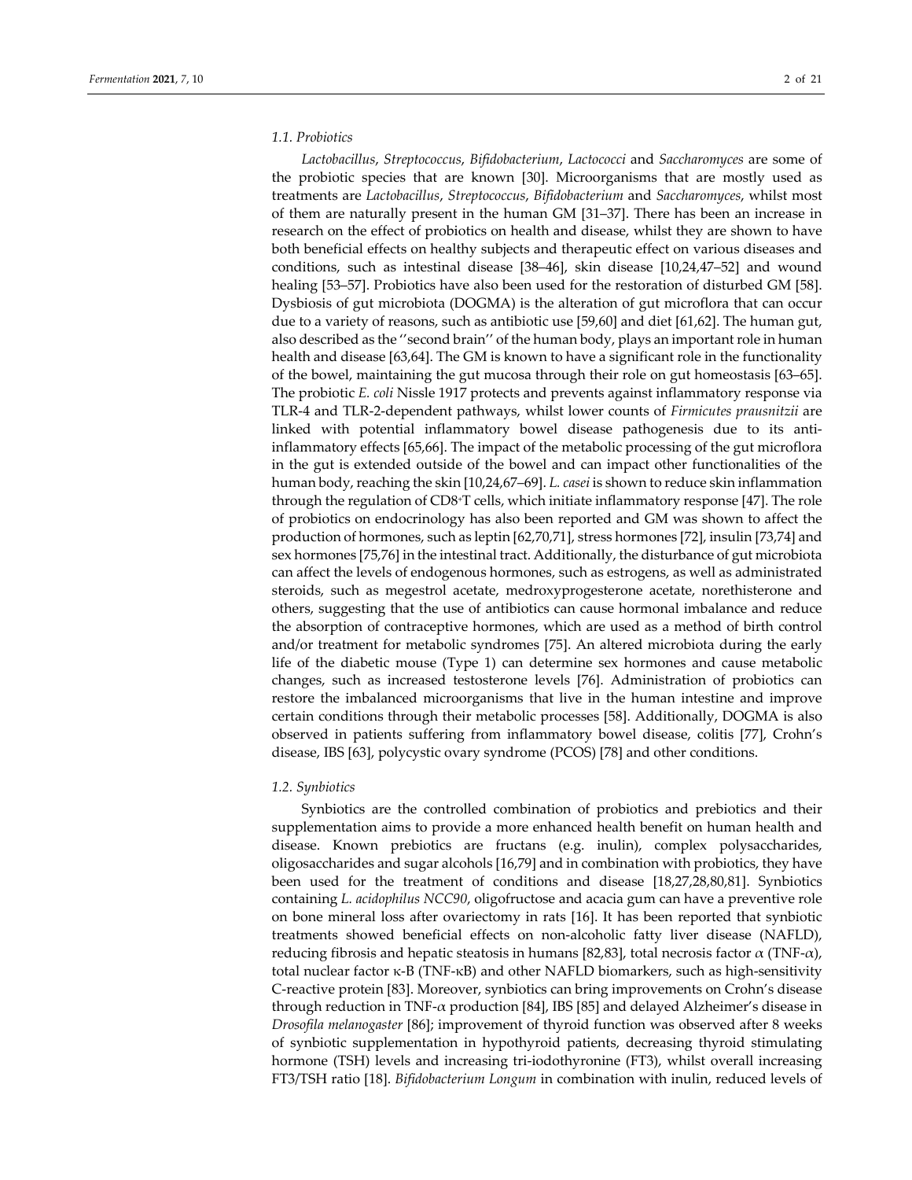# *1.1. Probiotics*

*Lactobacillus*, *Streptococcus*, *Bifidobacterium*, *Lactococci* and *Saccharomyces* are some of the probiotic species that are known [30]. Microorganisms that are mostly used as treatments are *Lactobacillus*, *Streptococcus*, *Bifidobacterium* and *Saccharomyces*, whilst most of them are naturally present in the human GM [31–37]. There has been an increase in research on the effect of probiotics on health and disease, whilst they are shown to have both beneficial effects on healthy subjects and therapeutic effect on various diseases and conditions, such as intestinal disease [38–46], skin disease [10,24,47–52] and wound healing [53–57]. Probiotics have also been used for the restoration of disturbed GM [58]. Dysbiosis of gut microbiota (DOGMA) is the alteration of gut microflora that can occur due to a variety of reasons, such as antibiotic use [59,60] and diet [61,62]. The human gut, also described as the "second brain" of the human body, plays an important role in human health and disease [63,64]. The GM is known to have a significant role in the functionality of the bowel, maintaining the gut mucosa through their role on gut homeostasis [63–65]. The probiotic *E. coli* Nissle 1917 protects and prevents against inflammatory response via TLR‐4 and TLR‐2‐dependent pathways, whilst lower counts of *Firmicutes prausnitzii* are linked with potential inflammatory bowel disease pathogenesis due to its anti‐ inflammatory effects [65,66]. The impact of the metabolic processing of the gut microflora in the gut is extended outside of the bowel and can impact other functionalities of the human body, reaching the skin [10,24,67–69]. *L. casei* is shown to reduce skin inflammation through the regulation of CD8+T cells, which initiate inflammatory response [47]. The role of probiotics on endocrinology has also been reported and GM was shown to affect the production of hormones, such as leptin [62,70,71], stress hormones [72], insulin [73,74] and sex hormones [75,76] in the intestinal tract. Additionally, the disturbance of gut microbiota can affect the levels of endogenous hormones, such as estrogens, as well as administrated steroids, such as megestrol acetate, medroxyprogesterone acetate, norethisterone and others, suggesting that the use of antibiotics can cause hormonal imbalance and reduce the absorption of contraceptive hormones, which are used as a method of birth control and/or treatment for metabolic syndromes [75]. An altered microbiota during the early life of the diabetic mouse (Type 1) can determine sex hormones and cause metabolic changes, such as increased testosterone levels [76]. Administration of probiotics can restore the imbalanced microorganisms that live in the human intestine and improve certain conditions through their metabolic processes [58]. Additionally, DOGMA is also observed in patients suffering from inflammatory bowel disease, colitis [77], Crohn's disease, IBS [63], polycystic ovary syndrome (PCOS) [78] and other conditions.

#### *1.2. Synbiotics*

Synbiotics are the controlled combination of probiotics and prebiotics and their supplementation aims to provide a more enhanced health benefit on human health and disease. Known prebiotics are fructans (e.g. inulin), complex polysaccharides, oligosaccharides and sugar alcohols [16,79] and in combination with probiotics, they have been used for the treatment of conditions and disease [18,27,28,80,81]. Synbiotics containing *L. acidophilus NCC90*, oligofructose and acacia gum can have a preventive role on bone mineral loss after ovariectomy in rats [16]. It has been reported that synbiotic treatments showed beneficial effects on non‐alcoholic fatty liver disease (NAFLD), reducing fibrosis and hepatic steatosis in humans [82,83], total necrosis factor  $\alpha$  (TNF- $\alpha$ ), total nuclear factor κ-B (TNF-κB) and other NAFLD biomarkers, such as high-sensitivity C‐reactive protein [83]. Moreover, synbiotics can bring improvements on Crohn's disease through reduction in TNF‐α production [84], IBS [85] and delayed Alzheimer's disease in *Drosofila melanogaster* [86]; improvement of thyroid function was observed after 8 weeks of synbiotic supplementation in hypothyroid patients, decreasing thyroid stimulating hormone (TSH) levels and increasing tri-iodothyronine (FT3), whilst overall increasing FT3/TSH ratio [18]. *Bifidobacterium Longum* in combination with inulin, reduced levels of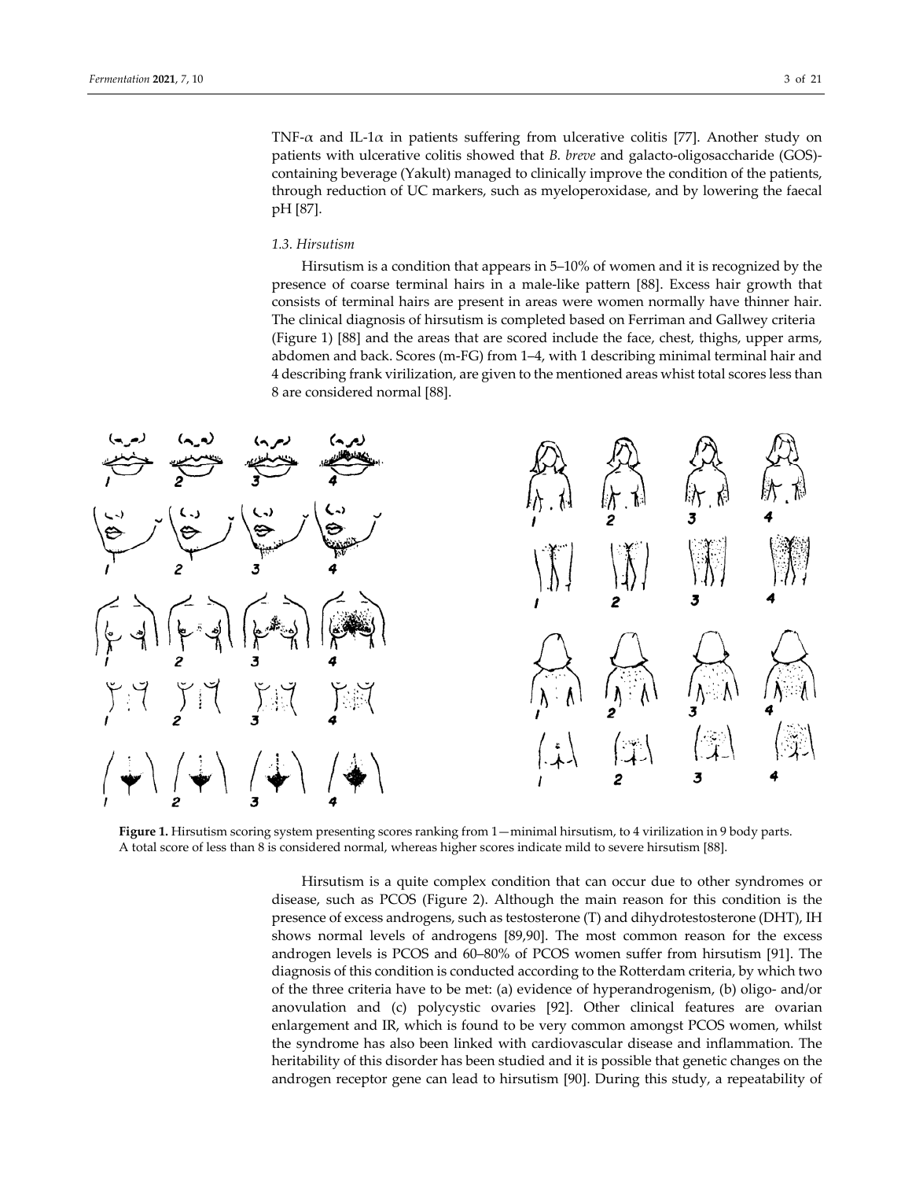TNF- $\alpha$  and IL-1 $\alpha$  in patients suffering from ulcerative colitis [77]. Another study on patients with ulcerative colitis showed that *B. breve* and galacto‐oligosaccharide (GOS)‐ containing beverage (Yakult) managed to clinically improve the condition of the patients, through reduction of UC markers, such as myeloperoxidase, and by lowering the faecal pH [87].

## *1.3. Hirsutism*

Hirsutism is a condition that appears in 5–10% of women and it is recognized by the presence of coarse terminal hairs in a male‐like pattern [88]. Excess hair growth that consists of terminal hairs are present in areas were women normally have thinner hair. The clinical diagnosis of hirsutism is completed based on Ferriman and Gallwey criteria (Figure 1) [88] and the areas that are scored include the face, chest, thighs, upper arms, abdomen and back. Scores (m‐FG) from 1–4, with 1 describing minimal terminal hair and 4 describing frank virilization, are given to the mentioned areas whist total scores less than 8 are considered normal [88].



**Figure 1.** Hirsutism scoring system presenting scores ranking from 1—minimal hirsutism, to 4 virilization in 9 body parts. A total score of less than 8 is considered normal, whereas higher scores indicate mild to severe hirsutism [88].

Hirsutism is a quite complex condition that can occur due to other syndromes or disease, such as PCOS (Figure 2). Although the main reason for this condition is the presence of excess androgens, such as testosterone (T) and dihydrotestosterone (DHT), IH shows normal levels of androgens [89,90]. The most common reason for the excess androgen levels is PCOS and 60–80% of PCOS women suffer from hirsutism [91]. The diagnosis of this condition is conducted according to the Rotterdam criteria, by which two of the three criteria have to be met: (a) evidence of hyperandrogenism, (b) oligo‐ and/or anovulation and (c) polycystic ovaries [92]. Other clinical features are ovarian enlargement and IR, which is found to be very common amongst PCOS women, whilst the syndrome has also been linked with cardiovascular disease and inflammation. The heritability of this disorder has been studied and it is possible that genetic changes on the androgen receptor gene can lead to hirsutism [90]. During this study, a repeatability of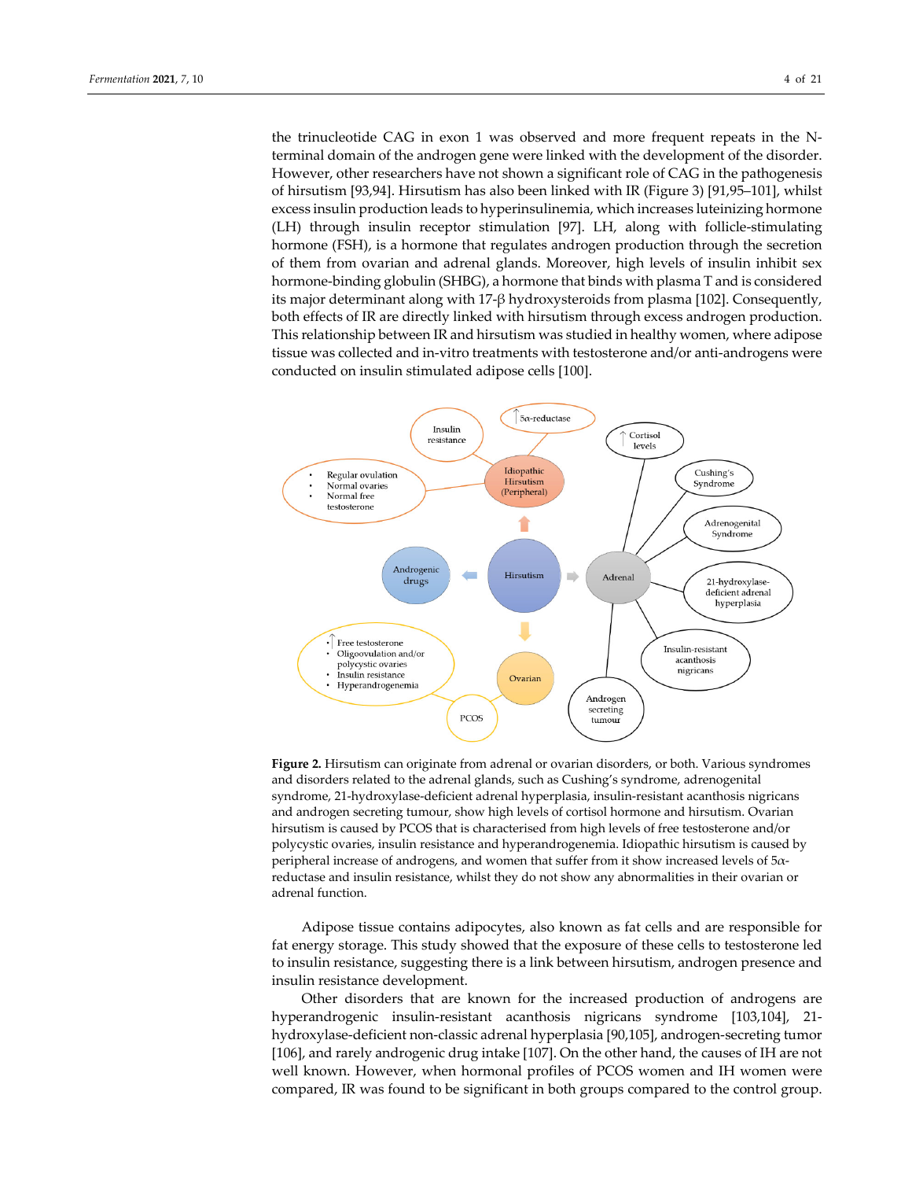the trinucleotide CAG in exon 1 was observed and more frequent repeats in the N‐ terminal domain of the androgen gene were linked with the development of the disorder. However, other researchers have not shown a significant role of CAG in the pathogenesis of hirsutism [93,94]. Hirsutism has also been linked with IR (Figure 3) [91,95–101], whilst excess insulin production leads to hyperinsulinemia, which increases luteinizing hormone (LH) through insulin receptor stimulation [97]. LH, along with follicle‐stimulating hormone (FSH), is a hormone that regulates androgen production through the secretion of them from ovarian and adrenal glands. Moreover, high levels of insulin inhibit sex hormone-binding globulin (SHBG), a hormone that binds with plasma T and is considered its major determinant along with 17‐β hydroxysteroids from plasma [102]. Consequently, both effects of IR are directly linked with hirsutism through excess androgen production. This relationship between IR and hirsutism was studied in healthy women, where adipose tissue was collected and in-vitro treatments with testosterone and/or anti-androgens were conducted on insulin stimulated adipose cells [100].



**Figure 2.** Hirsutism can originate from adrenal or ovarian disorders, or both. Various syndromes and disorders related to the adrenal glands, such as Cushing's syndrome, adrenogenital syndrome, 21‐hydroxylase‐deficient adrenal hyperplasia, insulin‐resistant acanthosis nigricans and androgen secreting tumour, show high levels of cortisol hormone and hirsutism. Ovarian hirsutism is caused by PCOS that is characterised from high levels of free testosterone and/or polycystic ovaries, insulin resistance and hyperandrogenemia. Idiopathic hirsutism is caused by peripheral increase of androgens, and women that suffer from it show increased levels of 5α‐ reductase and insulin resistance, whilst they do not show any abnormalities in their ovarian or adrenal function.

Adipose tissue contains adipocytes, also known as fat cells and are responsible for fat energy storage. This study showed that the exposure of these cells to testosterone led to insulin resistance, suggesting there is a link between hirsutism, androgen presence and insulin resistance development.

Other disorders that are known for the increased production of androgens are hyperandrogenic insulin-resistant acanthosis nigricans syndrome [103,104], 21hydroxylase‐deficient non‐classic adrenal hyperplasia [90,105], androgen‐secreting tumor [106], and rarely androgenic drug intake [107]. On the other hand, the causes of IH are not well known. However, when hormonal profiles of PCOS women and IH women were compared, IR was found to be significant in both groups compared to the control group.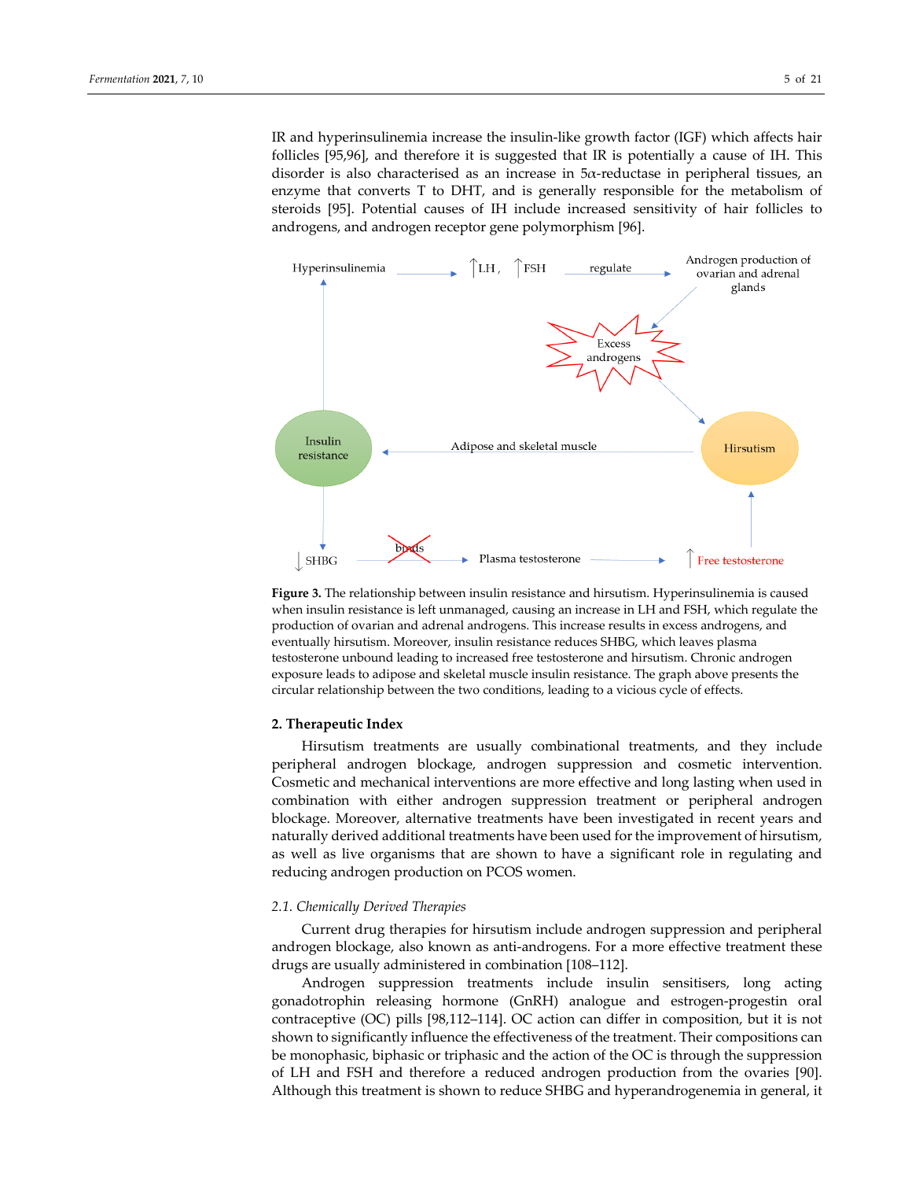IR and hyperinsulinemia increase the insulin‐like growth factor (IGF) which affects hair follicles [95,96], and therefore it is suggested that IR is potentially a cause of IH. This disorder is also characterised as an increase in  $5\alpha$ -reductase in peripheral tissues, an enzyme that converts T to DHT, and is generally responsible for the metabolism of steroids [95]. Potential causes of IH include increased sensitivity of hair follicles to androgens, and androgen receptor gene polymorphism [96].



**Figure 3.** The relationship between insulin resistance and hirsutism. Hyperinsulinemia is caused when insulin resistance is left unmanaged, causing an increase in LH and FSH, which regulate the production of ovarian and adrenal androgens. This increase results in excess androgens, and eventually hirsutism. Moreover, insulin resistance reduces SHBG, which leaves plasma testosterone unbound leading to increased free testosterone and hirsutism. Chronic androgen exposure leads to adipose and skeletal muscle insulin resistance. The graph above presents the circular relationship between the two conditions, leading to a vicious cycle of effects.

#### **2. Therapeutic Index**

Hirsutism treatments are usually combinational treatments, and they include peripheral androgen blockage, androgen suppression and cosmetic intervention. Cosmetic and mechanical interventions are more effective and long lasting when used in combination with either androgen suppression treatment or peripheral androgen blockage. Moreover, alternative treatments have been investigated in recent years and naturally derived additional treatments have been used forthe improvement of hirsutism, as well as live organisms that are shown to have a significant role in regulating and reducing androgen production on PCOS women.

#### *2.1. Chemically Derived Therapies*

Current drug therapies for hirsutism include androgen suppression and peripheral androgen blockage, also known as anti‐androgens. For a more effective treatment these drugs are usually administered in combination [108–112].

Androgen suppression treatments include insulin sensitisers, long acting gonadotrophin releasing hormone (GnRH) analogue and estrogen‐progestin oral contraceptive (OC) pills [98,112–114]. OC action can differ in composition, but it is not shown to significantly influence the effectiveness of the treatment. Their compositions can be monophasic, biphasic or triphasic and the action of the OC is through the suppression of LH and FSH and therefore a reduced androgen production from the ovaries [90]. Although this treatment is shown to reduce SHBG and hyperandrogenemia in general, it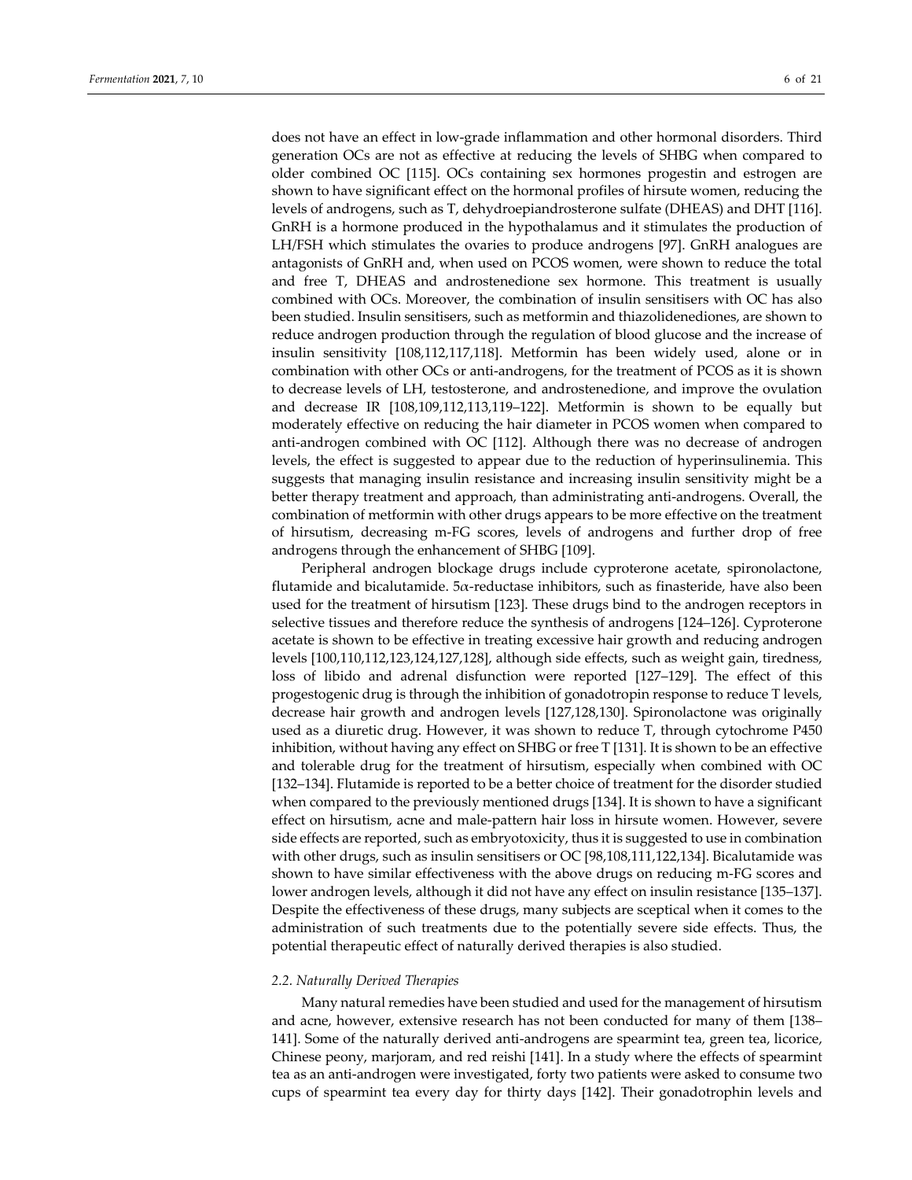does not have an effect in low‐grade inflammation and other hormonal disorders. Third generation OCs are not as effective at reducing the levels of SHBG when compared to older combined OC [115]. OCs containing sex hormones progestin and estrogen are shown to have significant effect on the hormonal profiles of hirsute women, reducing the levels of androgens, such as T, dehydroepiandrosterone sulfate (DHEAS) and DHT [116]. GnRH is a hormone produced in the hypothalamus and it stimulates the production of LH/FSH which stimulates the ovaries to produce androgens [97]. GnRH analogues are antagonists of GnRH and, when used on PCOS women, were shown to reduce the total and free T, DHEAS and androstenedione sex hormone. This treatment is usually combined with OCs. Moreover, the combination of insulin sensitisers with OC has also been studied. Insulin sensitisers, such as metformin and thiazolidenediones, are shown to reduce androgen production through the regulation of blood glucose and the increase of insulin sensitivity [108,112,117,118]. Metformin has been widely used, alone or in combination with other OCs or anti‐androgens, for the treatment of PCOS as it is shown to decrease levels of LH, testosterone, and androstenedione, and improve the ovulation and decrease IR [108,109,112,113,119–122]. Metformin is shown to be equally but moderately effective on reducing the hair diameter in PCOS women when compared to anti-androgen combined with OC [112]. Although there was no decrease of androgen levels, the effect is suggested to appear due to the reduction of hyperinsulinemia. This suggests that managing insulin resistance and increasing insulin sensitivity might be a better therapy treatment and approach, than administrating anti‐androgens. Overall, the combination of metformin with other drugs appears to be more effective on the treatment of hirsutism, decreasing m‐FG scores, levels of androgens and further drop of free androgens through the enhancement of SHBG [109].

Peripheral androgen blockage drugs include cyproterone acetate, spironolactone, flutamide and bicalutamide.  $5\alpha$ -reductase inhibitors, such as finasteride, have also been used for the treatment of hirsutism [123]. These drugs bind to the androgen receptors in selective tissues and therefore reduce the synthesis of androgens [124–126]. Cyproterone acetate is shown to be effective in treating excessive hair growth and reducing androgen levels [100,110,112,123,124,127,128], although side effects, such as weight gain, tiredness, loss of libido and adrenal disfunction were reported [127–129]. The effect of this progestogenic drug is through the inhibition of gonadotropin response to reduce T levels, decrease hair growth and androgen levels [127,128,130]. Spironolactone was originally used as a diuretic drug. However, it was shown to reduce T, through cytochrome P450 inhibition, without having any effect on SHBG or free T [131]. It is shown to be an effective and tolerable drug for the treatment of hirsutism, especially when combined with OC [132–134]. Flutamide is reported to be a better choice of treatment for the disorder studied when compared to the previously mentioned drugs [134]. It is shown to have a significant effect on hirsutism, acne and male‐pattern hair loss in hirsute women. However, severe side effects are reported, such as embryotoxicity, thus it is suggested to use in combination with other drugs, such as insulin sensitisers or OC [98,108,111,122,134]. Bicalutamide was shown to have similar effectiveness with the above drugs on reducing m‐FG scores and lower androgen levels, although it did not have any effect on insulin resistance [135–137]. Despite the effectiveness of these drugs, many subjects are sceptical when it comes to the administration of such treatments due to the potentially severe side effects. Thus, the potential therapeutic effect of naturally derived therapies is also studied.

#### *2.2. Naturally Derived Therapies*

Many natural remedies have been studied and used for the management of hirsutism and acne, however, extensive research has not been conducted for many of them [138– 141]. Some of the naturally derived anti-androgens are spearmint tea, green tea, licorice, Chinese peony, marjoram, and red reishi [141]. In a study where the effects of spearmint tea as an anti‐androgen were investigated, forty two patients were asked to consume two cups of spearmint tea every day for thirty days [142]. Their gonadotrophin levels and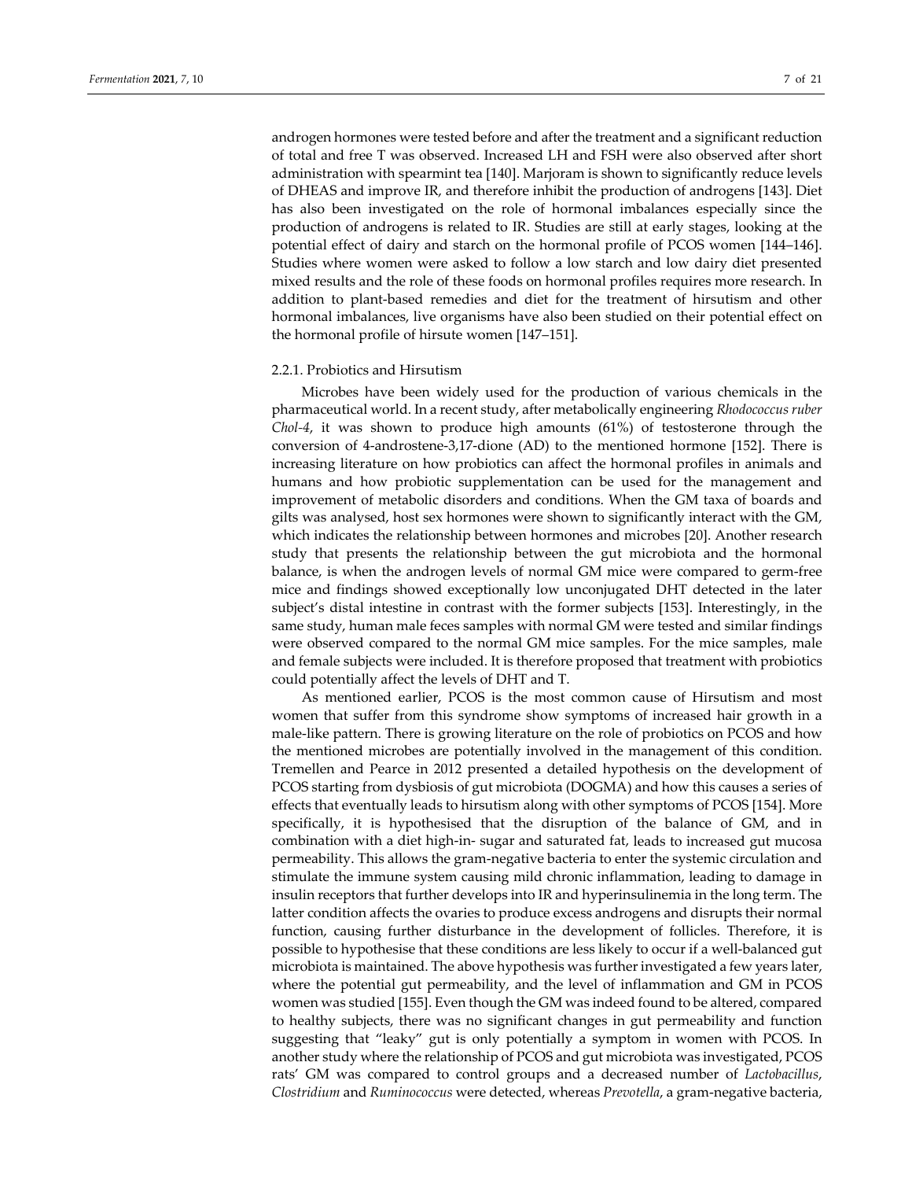androgen hormones were tested before and after the treatment and a significant reduction of total and free T was observed. Increased LH and FSH were also observed after short administration with spearmint tea [140]. Marjoram is shown to significantly reduce levels of DHEAS and improve IR, and therefore inhibit the production of androgens [143]. Diet has also been investigated on the role of hormonal imbalances especially since the production of androgens is related to IR. Studies are still at early stages, looking at the potential effect of dairy and starch on the hormonal profile of PCOS women [144–146]. Studies where women were asked to follow a low starch and low dairy diet presented mixed results and the role of these foods on hormonal profiles requires more research. In addition to plant‐based remedies and diet for the treatment of hirsutism and other hormonal imbalances, live organisms have also been studied on their potential effect on the hormonal profile of hirsute women [147–151].

## 2.2.1. Probiotics and Hirsutism

Microbes have been widely used for the production of various chemicals in the pharmaceutical world. In a recent study, after metabolically engineering *Rhodococcus ruber Chol‐4*, it was shown to produce high amounts (61%) of testosterone through the conversion of 4‐androstene‐3,17‐dione (AD) to the mentioned hormone [152]. There is increasing literature on how probiotics can affect the hormonal profiles in animals and humans and how probiotic supplementation can be used for the management and improvement of metabolic disorders and conditions. When the GM taxa of boards and gilts was analysed, host sex hormones were shown to significantly interact with the GM, which indicates the relationship between hormones and microbes [20]. Another research study that presents the relationship between the gut microbiota and the hormonal balance, is when the androgen levels of normal GM mice were compared to germ‐free mice and findings showed exceptionally low unconjugated DHT detected in the later subject's distal intestine in contrast with the former subjects [153]. Interestingly, in the same study, human male feces samples with normal GM were tested and similar findings were observed compared to the normal GM mice samples. For the mice samples, male and female subjects were included. It is therefore proposed that treatment with probiotics could potentially affect the levels of DHT and T.

As mentioned earlier, PCOS is the most common cause of Hirsutism and most women that suffer from this syndrome show symptoms of increased hair growth in a male-like pattern. There is growing literature on the role of probiotics on PCOS and how the mentioned microbes are potentially involved in the management of this condition. Tremellen and Pearce in 2012 presented a detailed hypothesis on the development of PCOS starting from dysbiosis of gut microbiota (DOGMA) and how this causes a series of effects that eventually leads to hirsutism along with other symptoms of PCOS [154]. More specifically, it is hypothesised that the disruption of the balance of GM, and in combination with a diet high-in- sugar and saturated fat, leads to increased gut mucosa permeability. This allows the gram‐negative bacteria to enter the systemic circulation and stimulate the immune system causing mild chronic inflammation, leading to damage in insulin receptors that further develops into IR and hyperinsulinemia in the long term. The latter condition affects the ovaries to produce excess androgens and disrupts their normal function, causing further disturbance in the development of follicles. Therefore, it is possible to hypothesise that these conditions are less likely to occur if a well-balanced gut microbiota is maintained. The above hypothesis was further investigated a few years later, where the potential gut permeability, and the level of inflammation and GM in PCOS women was studied [155]. Even though the GM was indeed found to be altered, compared to healthy subjects, there was no significant changes in gut permeability and function suggesting that "leaky" gut is only potentially a symptom in women with PCOS. In another study where the relationship of PCOS and gut microbiota was investigated, PCOS rats' GM was compared to control groups and a decreased number of *Lactobacillus*, *Clostridium* and *Ruminococcus* were detected, whereas *Prevotella*, a gram‐negative bacteria,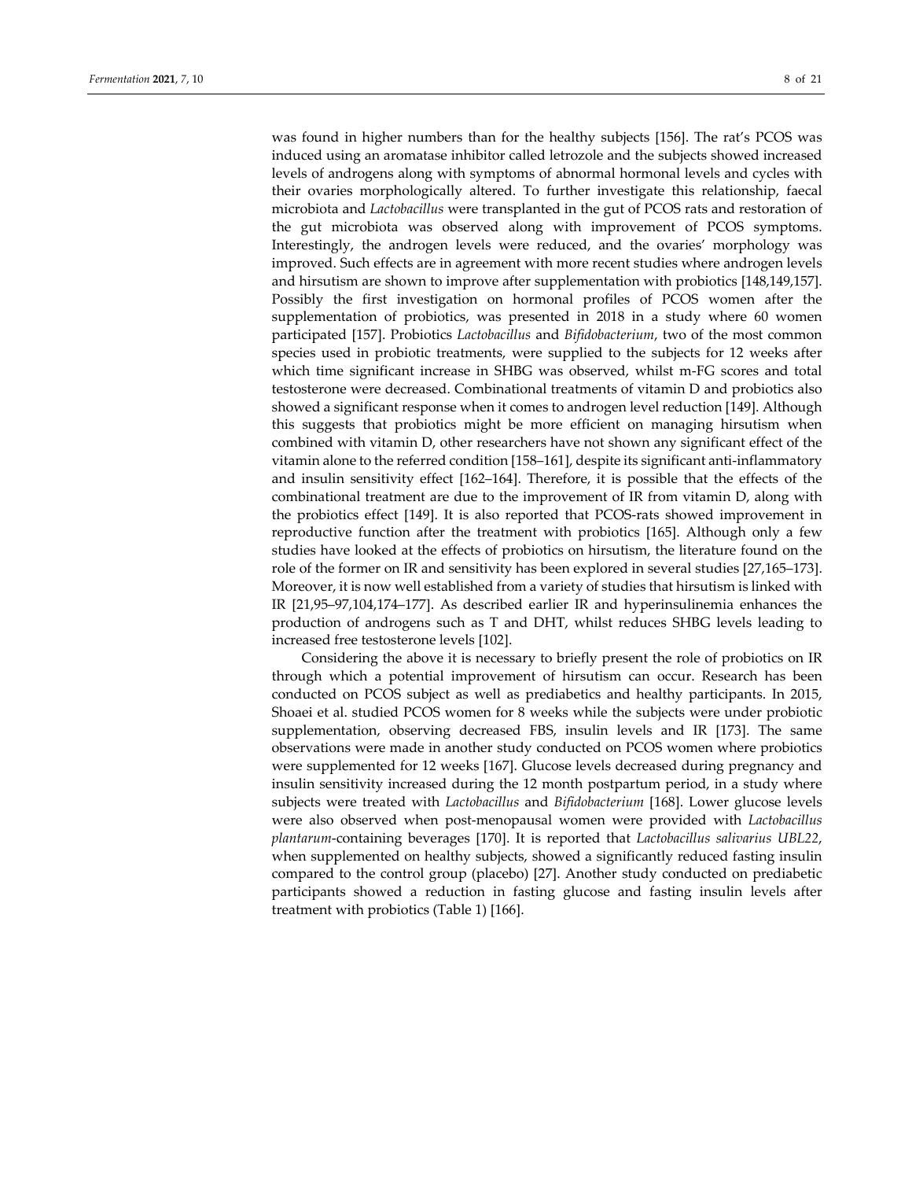was found in higher numbers than for the healthy subjects [156]. The rat's PCOS was induced using an aromatase inhibitor called letrozole and the subjects showed increased levels of androgens along with symptoms of abnormal hormonal levels and cycles with their ovaries morphologically altered. To further investigate this relationship, faecal microbiota and *Lactobacillus* were transplanted in the gut of PCOS rats and restoration of the gut microbiota was observed along with improvement of PCOS symptoms. Interestingly, the androgen levels were reduced, and the ovaries' morphology was improved. Such effects are in agreement with more recent studies where androgen levels and hirsutism are shown to improve after supplementation with probiotics [148,149,157]. Possibly the first investigation on hormonal profiles of PCOS women after the supplementation of probiotics, was presented in 2018 in a study where 60 women participated [157]. Probiotics *Lactobacillus* and *Bifidobacterium*, two of the most common species used in probiotic treatments, were supplied to the subjects for 12 weeks after which time significant increase in SHBG was observed, whilst m‐FG scores and total testosterone were decreased. Combinational treatments of vitamin D and probiotics also showed a significant response when it comes to androgen level reduction [149]. Although this suggests that probiotics might be more efficient on managing hirsutism when combined with vitamin D, other researchers have not shown any significant effect of the vitamin alone to the referred condition [158–161], despite its significant anti-inflammatory and insulin sensitivity effect [162–164]. Therefore, it is possible that the effects of the combinational treatment are due to the improvement of IR from vitamin D, along with the probiotics effect [149]. It is also reported that PCOS‐rats showed improvement in reproductive function after the treatment with probiotics [165]. Although only a few studies have looked at the effects of probiotics on hirsutism, the literature found on the role of the former on IR and sensitivity has been explored in several studies [27,165–173]. Moreover, it is now well established from a variety of studies that hirsutism is linked with IR [21,95–97,104,174–177]. As described earlier IR and hyperinsulinemia enhances the production of androgens such as T and DHT, whilst reduces SHBG levels leading to increased free testosterone levels [102].

Considering the above it is necessary to briefly present the role of probiotics on IR through which a potential improvement of hirsutism can occur. Research has been conducted on PCOS subject as well as prediabetics and healthy participants. In 2015, Shoaei et al. studied PCOS women for 8 weeks while the subjects were under probiotic supplementation, observing decreased FBS, insulin levels and IR [173]. The same observations were made in another study conducted on PCOS women where probiotics were supplemented for 12 weeks [167]. Glucose levels decreased during pregnancy and insulin sensitivity increased during the 12 month postpartum period, in a study where subjects were treated with *Lactobacillus* and *Bifidobacterium* [168]. Lower glucose levels were also observed when post‐menopausal women were provided with *Lactobacillus plantarum*‐containing beverages [170]. It is reported that *Lactobacillus salivarius UBL22*, when supplemented on healthy subjects, showed a significantly reduced fasting insulin compared to the control group (placebo) [27]. Another study conducted on prediabetic participants showed a reduction in fasting glucose and fasting insulin levels after treatment with probiotics (Table 1) [166].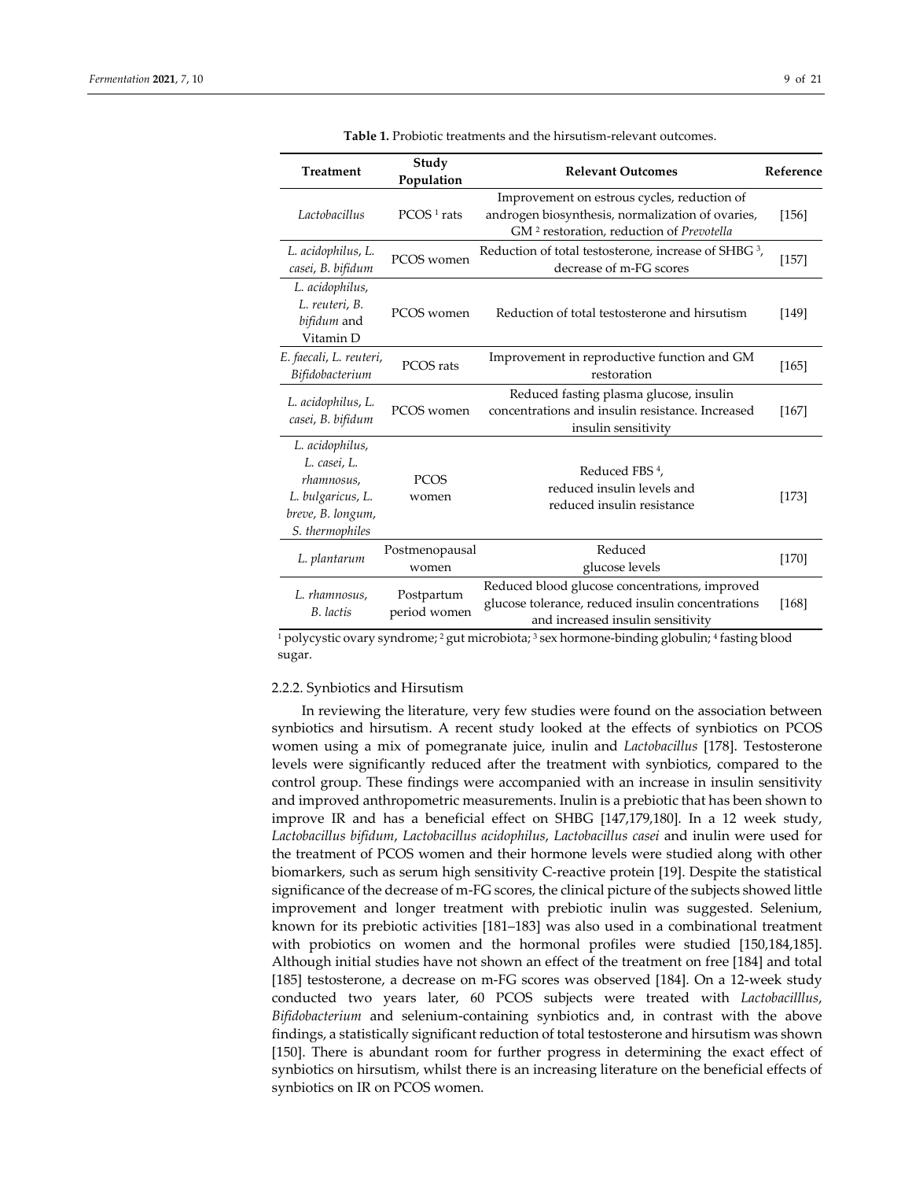| <b>Treatment</b>                                                                                           | Study<br>Population        | <b>Relevant Outcomes</b>                                                                                                                                | Reference |
|------------------------------------------------------------------------------------------------------------|----------------------------|---------------------------------------------------------------------------------------------------------------------------------------------------------|-----------|
| Lactobacillus                                                                                              | $PCOS1$ rats               | Improvement on estrous cycles, reduction of<br>androgen biosynthesis, normalization of ovaries,<br>GM <sup>2</sup> restoration, reduction of Prevotella | [156]     |
| L. acidophilus, L.<br>casei, B. bifidum                                                                    | PCOS women                 | Reduction of total testosterone, increase of SHBG <sup>3</sup> ,<br>decrease of m-FG scores                                                             | $[157]$   |
| L. acidophilus,<br>L. reuteri, B.<br>bifidum and<br>Vitamin D                                              | PCOS women                 | Reduction of total testosterone and hirsutism                                                                                                           | [149]     |
| E. faecali, L. reuteri,<br>Bifidobacterium                                                                 | PCOS rats                  | Improvement in reproductive function and GM<br>restoration                                                                                              | $[165]$   |
| L. acidophilus, L.<br>casei, B. bifidum                                                                    | PCOS women                 | Reduced fasting plasma glucose, insulin<br>concentrations and insulin resistance. Increased<br>insulin sensitivity                                      | $[167]$   |
| L. acidophilus,<br>L. casei, L.<br>rhamnosus,<br>L. bulgaricus, L.<br>breve, B. longum,<br>S. thermophiles | <b>PCOS</b><br>women       | Reduced FBS <sup>4</sup> ,<br>reduced insulin levels and<br>reduced insulin resistance                                                                  | $[173]$   |
| L. plantarum                                                                                               | Postmenopausal<br>women    | Reduced<br>glucose levels                                                                                                                               | $[170]$   |
| L. rhamnosus,<br>B. lactis                                                                                 | Postpartum<br>period women | Reduced blood glucose concentrations, improved<br>glucose tolerance, reduced insulin concentrations<br>and increased insulin sensitivity                | [168]     |

**Table 1.** Probiotic treatments and the hirsutism‐relevant outcomes.

<sup>1</sup> polycystic ovary syndrome; <sup>2</sup> gut microbiota; <sup>3</sup> sex hormone-binding globulin; <sup>4</sup> fasting blood sugar.

#### 2.2.2. Synbiotics and Hirsutism

In reviewing the literature, very few studies were found on the association between synbiotics and hirsutism. A recent study looked at the effects of synbiotics on PCOS women using a mix of pomegranate juice, inulin and *Lactobacillus* [178]. Testosterone levels were significantly reduced after the treatment with synbiotics, compared to the control group. These findings were accompanied with an increase in insulin sensitivity and improved anthropometric measurements. Inulin is a prebiotic that has been shown to improve IR and has a beneficial effect on SHBG [147,179,180]. In a 12 week study, *Lactobacillus bifidum*, *Lactobacillus acidophilus*, *Lactobacillus casei* and inulin were used for the treatment of PCOS women and their hormone levels were studied along with other biomarkers, such as serum high sensitivity C-reactive protein [19]. Despite the statistical significance of the decrease of m‐FG scores, the clinical picture of the subjects showed little improvement and longer treatment with prebiotic inulin was suggested. Selenium, known for its prebiotic activities [181–183] was also used in a combinational treatment with probiotics on women and the hormonal profiles were studied [150,184,185]. Although initial studies have not shown an effect of the treatment on free [184] and total [185] testosterone, a decrease on m‐FG scores was observed [184]. On a 12‐week study conducted two years later, 60 PCOS subjects were treated with *Lactobacilllus*, *Bifidobacterium* and selenium‐containing synbiotics and, in contrast with the above findings, a statistically significant reduction of total testosterone and hirsutism was shown [150]. There is abundant room for further progress in determining the exact effect of synbiotics on hirsutism, whilst there is an increasing literature on the beneficial effects of synbiotics on IR on PCOS women.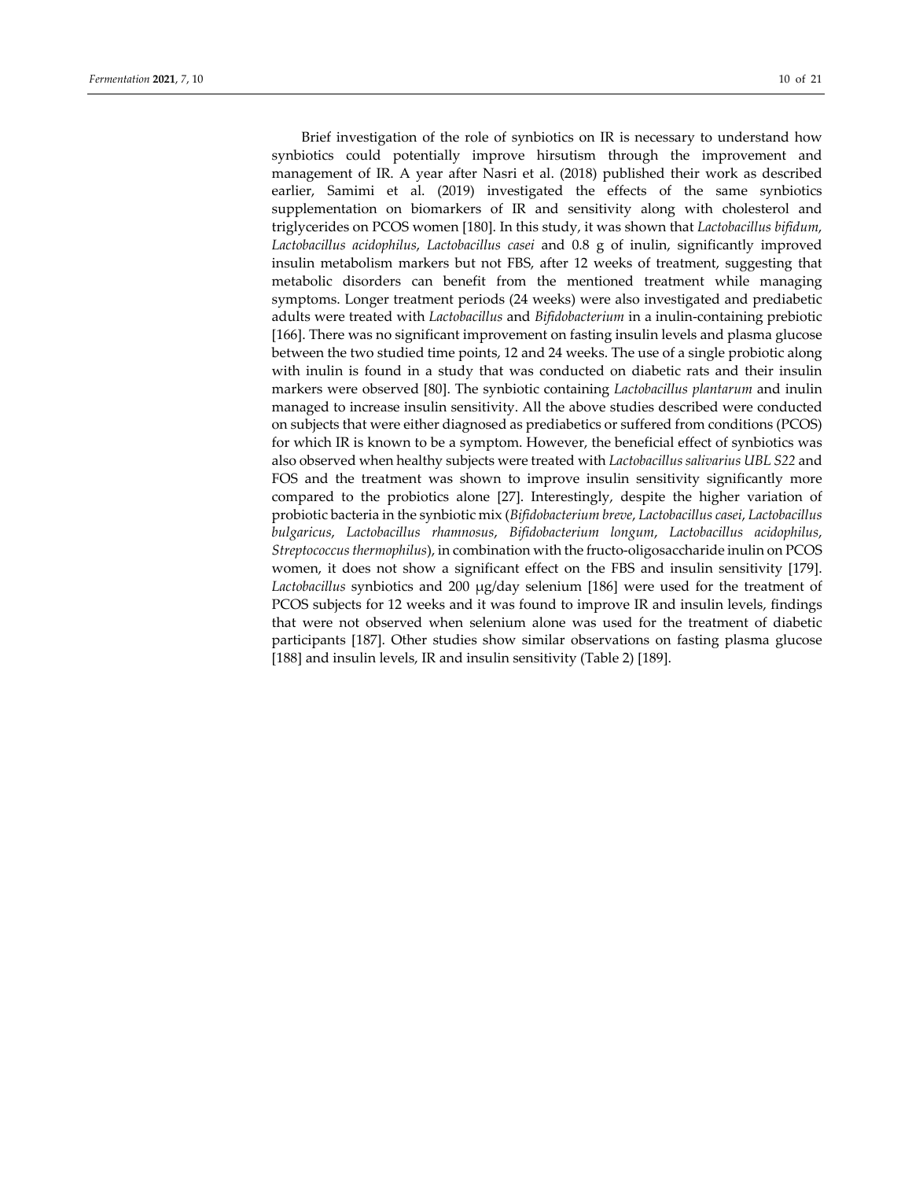Brief investigation of the role of synbiotics on IR is necessary to understand how synbiotics could potentially improve hirsutism through the improvement and management of IR. A year after Nasri et al. (2018) published their work as described earlier, Samimi et al. (2019) investigated the effects of the same synbiotics supplementation on biomarkers of IR and sensitivity along with cholesterol and triglycerides on PCOS women [180]. In this study, it was shown that *Lactobacillus bifidum*, *Lactobacillus acidophilus*, *Lactobacillus casei* and 0.8 g of inulin, significantly improved insulin metabolism markers but not FBS, after 12 weeks of treatment, suggesting that metabolic disorders can benefit from the mentioned treatment while managing symptoms. Longer treatment periods (24 weeks) were also investigated and prediabetic adults were treated with *Lactobacillus* and *Bifidobacterium* in a inulin‐containing prebiotic [166]. There was no significant improvement on fasting insulin levels and plasma glucose between the two studied time points, 12 and 24 weeks. The use of a single probiotic along with inulin is found in a study that was conducted on diabetic rats and their insulin markers were observed [80]. The synbiotic containing *Lactobacillus plantarum* and inulin managed to increase insulin sensitivity. All the above studies described were conducted on subjects that were either diagnosed as prediabetics or suffered from conditions (PCOS) for which IR is known to be a symptom. However, the beneficial effect of synbiotics was also observed when healthy subjects were treated with *Lactobacillus salivarius UBL S22* and FOS and the treatment was shown to improve insulin sensitivity significantly more compared to the probiotics alone [27]. Interestingly, despite the higher variation of probiotic bacteria in the synbiotic mix (*Bifidobacterium breve*, *Lactobacillus casei*, *Lactobacillus bulgaricus*, *Lactobacillus rhamnosus*, *Bifidobacterium longum*, *Lactobacillus acidophilus*, *Streptococcus thermophilus*), in combination with the fructo-oligosaccharide inulin on PCOS women, it does not show a significant effect on the FBS and insulin sensitivity [179]. *Lactobacillus* synbiotics and 200 μg/day selenium [186] were used for the treatment of PCOS subjects for 12 weeks and it was found to improve IR and insulin levels, findings that were not observed when selenium alone was used for the treatment of diabetic participants [187]. Other studies show similar observations on fasting plasma glucose [188] and insulin levels, IR and insulin sensitivity (Table 2) [189].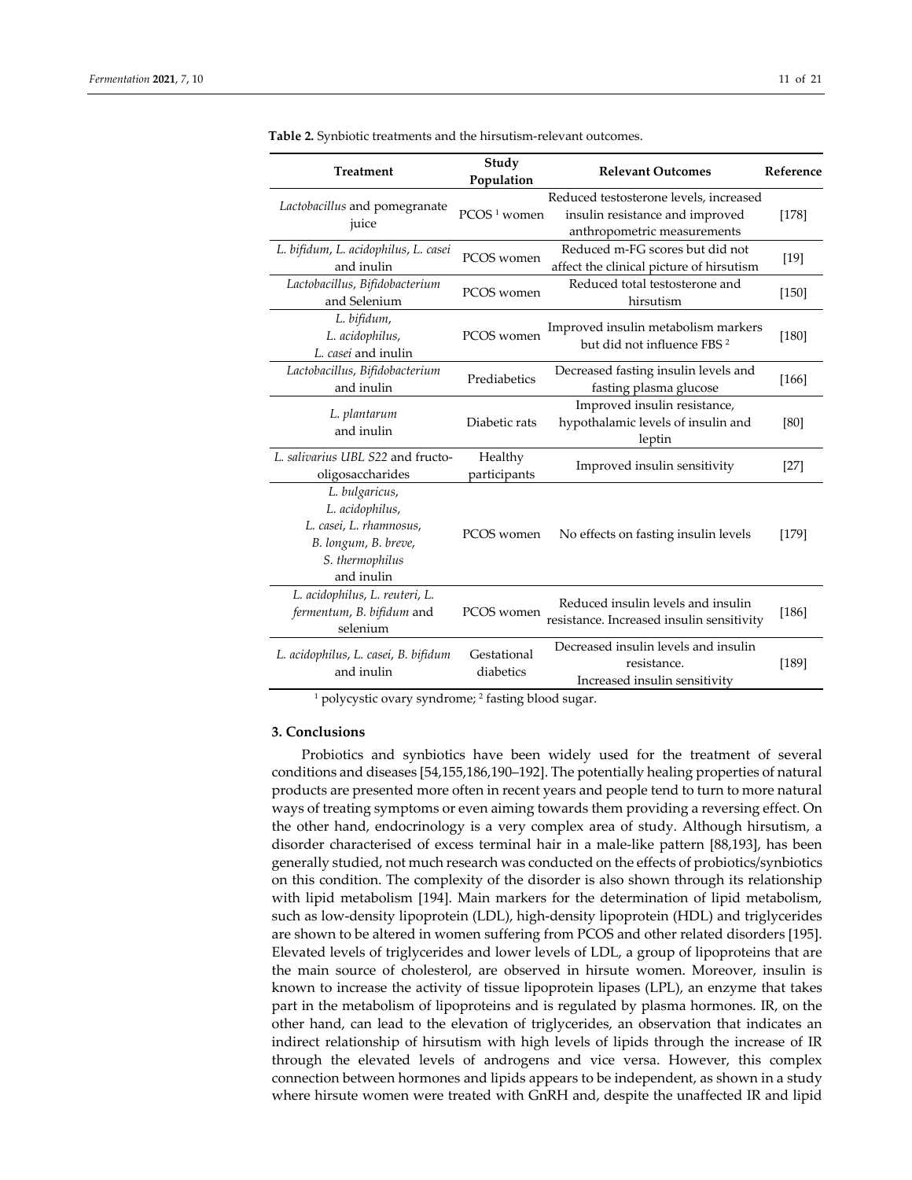| <b>Treatment</b>                                                                                                      | Study<br>Population      | <b>Relevant Outcomes</b>                                                                                 | Reference |
|-----------------------------------------------------------------------------------------------------------------------|--------------------------|----------------------------------------------------------------------------------------------------------|-----------|
| Lactobacillus and pomegranate<br>juice                                                                                | PCOS <sup>1</sup> women  | Reduced testosterone levels, increased<br>insulin resistance and improved<br>anthropometric measurements | [178]     |
| L. bifidum, L. acidophilus, L. casei<br>and inulin                                                                    | PCOS women               | Reduced m-FG scores but did not<br>affect the clinical picture of hirsutism                              | $[19]$    |
| Lactobacillus, Bifidobacterium<br>and Selenium                                                                        | PCOS women               | Reduced total testosterone and<br>hirsutism                                                              | $[150]$   |
| L. bifidum,<br>L. acidophilus,<br>L. casei and inulin                                                                 | PCOS women               | Improved insulin metabolism markers<br>but did not influence FBS <sup>2</sup>                            | $[180]$   |
| Lactobacillus, Bifidobacterium<br>and inulin                                                                          | Prediabetics             | Decreased fasting insulin levels and<br>fasting plasma glucose                                           | [166]     |
| L. plantarum<br>and inulin                                                                                            | Diabetic rats            | Improved insulin resistance,<br>hypothalamic levels of insulin and<br>leptin                             | [80]      |
| L. salivarius UBL S22 and fructo-<br>oligosaccharides                                                                 | Healthy<br>participants  | Improved insulin sensitivity                                                                             | $[27]$    |
| L. bulgaricus,<br>L. acidophilus,<br>L. casei, L. rhamnosus,<br>B. longum, B. breve,<br>S. thermophilus<br>and inulin | PCOS women               | No effects on fasting insulin levels                                                                     | [179]     |
| L. acidophilus, L. reuteri, L.<br>fermentum, B. bifidum and<br>selenium                                               | PCOS women               | Reduced insulin levels and insulin<br>resistance. Increased insulin sensitivity                          | [186]     |
| L. acidophilus, L. casei, B. bifidum<br>and inulin                                                                    | Gestational<br>diabetics | Decreased insulin levels and insulin<br>resistance.<br>Increased insulin sensitivity                     | [189]     |

**Table 2.** Synbiotic treatments and the hirsutism‐relevant outcomes.

<sup>1</sup> polycystic ovary syndrome; <sup>2</sup> fasting blood sugar.

#### **3. Conclusions**

Probiotics and synbiotics have been widely used for the treatment of several conditions and diseases [54,155,186,190–192]. The potentially healing properties of natural products are presented more often in recent years and people tend to turn to more natural ways of treating symptoms or even aiming towards them providing a reversing effect. On the other hand, endocrinology is a very complex area of study. Although hirsutism, a disorder characterised of excess terminal hair in a male‐like pattern [88,193], has been generally studied, not much research was conducted on the effects of probiotics/synbiotics on this condition. The complexity of the disorder is also shown through its relationship with lipid metabolism [194]. Main markers for the determination of lipid metabolism, such as low-density lipoprotein (LDL), high-density lipoprotein (HDL) and triglycerides are shown to be altered in women suffering from PCOS and other related disorders [195]. Elevated levels of triglycerides and lower levels of LDL, a group of lipoproteins that are the main source of cholesterol, are observed in hirsute women. Moreover, insulin is known to increase the activity of tissue lipoprotein lipases (LPL), an enzyme that takes part in the metabolism of lipoproteins and is regulated by plasma hormones. IR, on the other hand, can lead to the elevation of triglycerides, an observation that indicates an indirect relationship of hirsutism with high levels of lipids through the increase of IR through the elevated levels of androgens and vice versa. However, this complex connection between hormones and lipids appears to be independent, as shown in a study where hirsute women were treated with GnRH and, despite the unaffected IR and lipid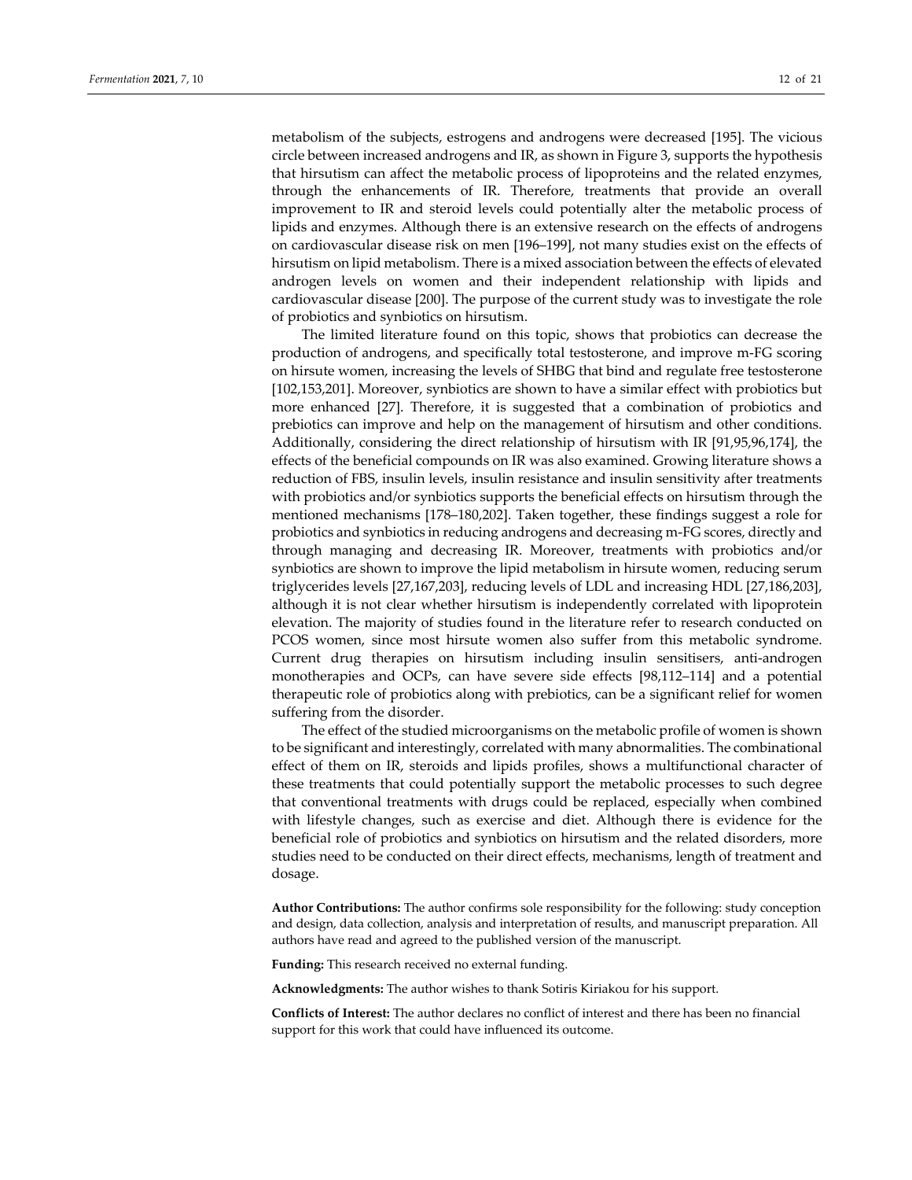metabolism of the subjects, estrogens and androgens were decreased [195]. The vicious circle between increased androgens and IR, as shown in Figure 3, supports the hypothesis that hirsutism can affect the metabolic process of lipoproteins and the related enzymes, through the enhancements of IR. Therefore, treatments that provide an overall improvement to IR and steroid levels could potentially alter the metabolic process of lipids and enzymes. Although there is an extensive research on the effects of androgens on cardiovascular disease risk on men [196–199], not many studies exist on the effects of hirsutism on lipid metabolism. There is a mixed association between the effects of elevated androgen levels on women and their independent relationship with lipids and cardiovascular disease [200]. The purpose of the current study was to investigate the role of probiotics and synbiotics on hirsutism.

The limited literature found on this topic, shows that probiotics can decrease the production of androgens, and specifically total testosterone, and improve m‐FG scoring on hirsute women, increasing the levels of SHBG that bind and regulate free testosterone [102,153,201]. Moreover, synbiotics are shown to have a similar effect with probiotics but more enhanced [27]. Therefore, it is suggested that a combination of probiotics and prebiotics can improve and help on the management of hirsutism and other conditions. Additionally, considering the direct relationship of hirsutism with IR [91,95,96,174], the effects of the beneficial compounds on IR was also examined. Growing literature shows a reduction of FBS, insulin levels, insulin resistance and insulin sensitivity after treatments with probiotics and/or synbiotics supports the beneficial effects on hirsutism through the mentioned mechanisms [178–180,202]. Taken together, these findings suggest a role for probiotics and synbiotics in reducing androgens and decreasing m‐FG scores, directly and through managing and decreasing IR. Moreover, treatments with probiotics and/or synbiotics are shown to improve the lipid metabolism in hirsute women, reducing serum triglycerides levels [27,167,203], reducing levels of LDL and increasing HDL [27,186,203], although it is not clear whether hirsutism is independently correlated with lipoprotein elevation. The majority of studies found in the literature refer to research conducted on PCOS women, since most hirsute women also suffer from this metabolic syndrome. Current drug therapies on hirsutism including insulin sensitisers, anti‐androgen monotherapies and OCPs, can have severe side effects [98,112–114] and a potential therapeutic role of probiotics along with prebiotics, can be a significant relief for women suffering from the disorder.

The effect of the studied microorganisms on the metabolic profile of women is shown to be significant and interestingly, correlated with many abnormalities. The combinational effect of them on IR, steroids and lipids profiles, shows a multifunctional character of these treatments that could potentially support the metabolic processes to such degree that conventional treatments with drugs could be replaced, especially when combined with lifestyle changes, such as exercise and diet. Although there is evidence for the beneficial role of probiotics and synbiotics on hirsutism and the related disorders, more studies need to be conducted on their direct effects, mechanisms, length of treatment and dosage.

**Author Contributions:** The author confirms sole responsibility for the following: study conception and design, data collection, analysis and interpretation of results, and manuscript preparation. All authors have read and agreed to the published version of the manuscript.

**Funding:** This research received no external funding.

**Acknowledgments:** The author wishes to thank Sotiris Kiriakou for his support.

**Conflicts of Interest:** The author declares no conflict of interest and there has been no financial support for this work that could have influenced its outcome.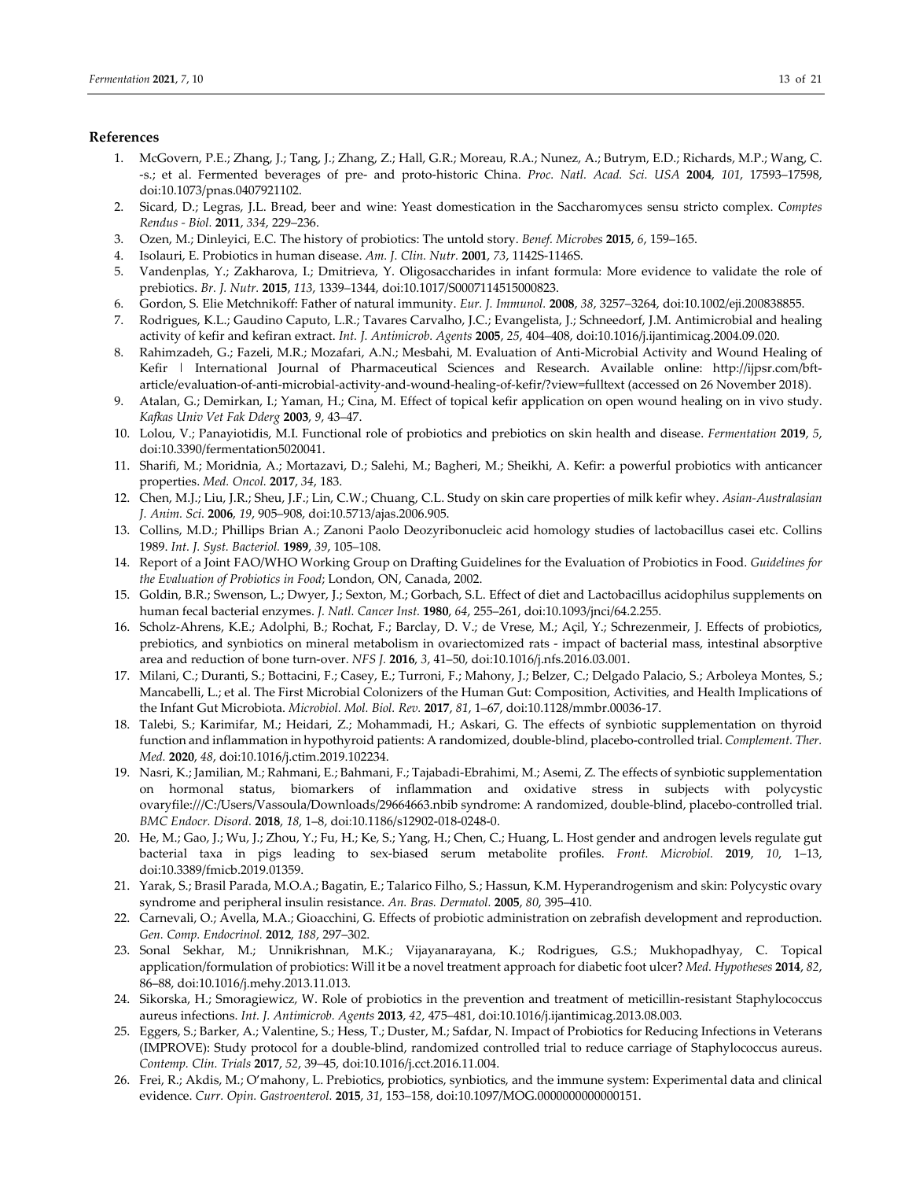#### **References**

- 1. McGovern, P.E.; Zhang, J.; Tang, J.; Zhang, Z.; Hall, G.R.; Moreau, R.A.; Nunez, A.; Butrym, E.D.; Richards, M.P.; Wang, C. ‐s.; et al. Fermented beverages of pre‐ and proto‐historic China. *Proc. Natl. Acad. Sci. USA* **2004**, *101*, 17593–17598, doi:10.1073/pnas.0407921102.
- 2. Sicard, D.; Legras, J.L. Bread, beer and wine: Yeast domestication in the Saccharomyces sensu stricto complex. *Comptes Rendus ‐ Biol.* **2011**, *334*, 229–236.
- 3. Ozen, M.; Dinleyici, E.C. The history of probiotics: The untold story. *Benef. Microbes* **2015**, *6*, 159–165.
- 4. Isolauri, E. Probiotics in human disease. *Am. J. Clin. Nutr.* **2001**, *73*, 1142S‐1146S.
- 5. Vandenplas, Y.; Zakharova, I.; Dmitrieva, Y. Oligosaccharides in infant formula: More evidence to validate the role of prebiotics. *Br. J. Nutr.* **2015**, *113*, 1339–1344, doi:10.1017/S0007114515000823.
- 6. Gordon, S. Elie Metchnikoff: Father of natural immunity. *Eur. J. Immunol.* **2008**, *38*, 3257–3264, doi:10.1002/eji.200838855.
- 7. Rodrigues, K.L.; Gaudino Caputo, L.R.; Tavares Carvalho, J.C.; Evangelista, J.; Schneedorf, J.M. Antimicrobial and healing activity of kefir and kefiran extract. *Int. J. Antimicrob. Agents* **2005**, *25*, 404–408, doi:10.1016/j.ijantimicag.2004.09.020.
- 8. Rahimzadeh, G.; Fazeli, M.R.; Mozafari, A.N.; Mesbahi, M. Evaluation of Anti-Microbial Activity and Wound Healing of Kefir | International Journal of Pharmaceutical Sciences and Research. Available online: http://ijpsr.com/bftarticle/evaluation‐of‐anti‐microbial‐activity‐and‐wound‐healing‐of‐kefir/?view=fulltext (accessed on 26 November 2018).
- 9. Atalan, G.; Demirkan, I.; Yaman, H.; Cina, M. Effect of topical kefir application on open wound healing on in vivo study. *Kafkas Univ Vet Fak Dderg* **2003**, *9*, 43–47.
- 10. Lolou, V.; Panayiotidis, M.I. Functional role of probiotics and prebiotics on skin health and disease. *Fermentation* **2019**, *5*, doi:10.3390/fermentation5020041.
- 11. Sharifi, M.; Moridnia, A.; Mortazavi, D.; Salehi, M.; Bagheri, M.; Sheikhi, A. Kefir: a powerful probiotics with anticancer properties. *Med. Oncol.* **2017**, *34*, 183.
- 12. Chen, M.J.; Liu, J.R.; Sheu, J.F.; Lin, C.W.; Chuang, C.L. Study on skin care properties of milk kefir whey. *Asian‐Australasian J. Anim. Sci.* **2006**, *19*, 905–908, doi:10.5713/ajas.2006.905.
- 13. Collins, M.D.; Phillips Brian A.; Zanoni Paolo Deozyribonucleic acid homology studies of lactobacillus casei etc. Collins 1989. *Int. J. Syst. Bacteriol.* **1989**, *39*, 105–108.
- 14. Report of a Joint FAO/WHO Working Group on Drafting Guidelines for the Evaluation of Probiotics in Food. *Guidelines for the Evaluation of Probiotics in Food*; London, ON, Canada, 2002.
- 15. Goldin, B.R.; Swenson, L.; Dwyer, J.; Sexton, M.; Gorbach, S.L. Effect of diet and Lactobacillus acidophilus supplements on human fecal bacterial enzymes. *J. Natl. Cancer Inst.* **1980**, *64*, 255–261, doi:10.1093/jnci/64.2.255.
- 16. Scholz‐Ahrens, K.E.; Adolphi, B.; Rochat, F.; Barclay, D. V.; de Vrese, M.; Açil, Y.; Schrezenmeir, J. Effects of probiotics, prebiotics, and synbiotics on mineral metabolism in ovariectomized rats ‐ impact of bacterial mass, intestinal absorptive area and reduction of bone turn‐over. *NFS J.* **2016**, *3*, 41–50, doi:10.1016/j.nfs.2016.03.001.
- 17. Milani, C.; Duranti, S.; Bottacini, F.; Casey, E.; Turroni, F.; Mahony, J.; Belzer, C.; Delgado Palacio, S.; Arboleya Montes, S.; Mancabelli, L.; et al. The First Microbial Colonizers of the Human Gut: Composition, Activities, and Health Implications of the Infant Gut Microbiota. *Microbiol. Mol. Biol. Rev.* **2017**, *81*, 1–67, doi:10.1128/mmbr.00036‐17.
- 18. Talebi, S.; Karimifar, M.; Heidari, Z.; Mohammadi, H.; Askari, G. The effects of synbiotic supplementation on thyroid function and inflammation in hypothyroid patients: A randomized, double‐blind, placebo‐controlled trial. *Complement. Ther. Med.* **2020**, *48*, doi:10.1016/j.ctim.2019.102234.
- 19. Nasri, K.; Jamilian, M.; Rahmani, E.; Bahmani, F.; Tajabadi‐Ebrahimi, M.; Asemi, Z. The effects of synbiotic supplementation on hormonal status, biomarkers of inflammation and oxidative stress in subjects with polycystic ovaryfile:///C:/Users/Vassoula/Downloads/29664663.nbib syndrome: A randomized, double‐blind, placebo‐controlled trial. *BMC Endocr. Disord.* **2018**, *18*, 1–8, doi:10.1186/s12902‐018‐0248‐0.
- 20. He, M.; Gao, J.; Wu, J.; Zhou, Y.; Fu, H.; Ke, S.; Yang, H.; Chen, C.; Huang, L. Host gender and androgen levels regulate gut bacterial taxa in pigs leading to sex‐biased serum metabolite profiles. *Front. Microbiol.* **2019**, *10*, 1–13, doi:10.3389/fmicb.2019.01359.
- 21. Yarak, S.; Brasil Parada, M.O.A.; Bagatin, E.; Talarico Filho, S.; Hassun, K.M. Hyperandrogenism and skin: Polycystic ovary syndrome and peripheral insulin resistance. *An. Bras. Dermatol.* **2005**, *80*, 395–410.
- 22. Carnevali, O.; Avella, M.A.; Gioacchini, G. Effects of probiotic administration on zebrafish development and reproduction. *Gen. Comp. Endocrinol.* **2012**, *188*, 297–302.
- 23. Sonal Sekhar, M.; Unnikrishnan, M.K.; Vijayanarayana, K.; Rodrigues, G.S.; Mukhopadhyay, C. Topical application/formulation of probiotics: Will it be a novel treatment approach for diabetic foot ulcer? *Med. Hypotheses* **2014**, *82*, 86–88, doi:10.1016/j.mehy.2013.11.013.
- 24. Sikorska, H.; Smoragiewicz, W. Role of probiotics in the prevention and treatment of meticillin‐resistant Staphylococcus aureus infections. *Int. J. Antimicrob. Agents* **2013**, *42*, 475–481, doi:10.1016/j.ijantimicag.2013.08.003.
- 25. Eggers, S.; Barker, A.; Valentine, S.; Hess, T.; Duster, M.; Safdar, N. Impact of Probiotics for Reducing Infections in Veterans (IMPROVE): Study protocol for a double‐blind, randomized controlled trial to reduce carriage of Staphylococcus aureus. *Contemp. Clin. Trials* **2017**, *52*, 39–45, doi:10.1016/j.cct.2016.11.004.
- 26. Frei, R.; Akdis, M.; O'mahony, L. Prebiotics, probiotics, synbiotics, and the immune system: Experimental data and clinical evidence. *Curr. Opin. Gastroenterol.* **2015**, *31*, 153–158, doi:10.1097/MOG.0000000000000151.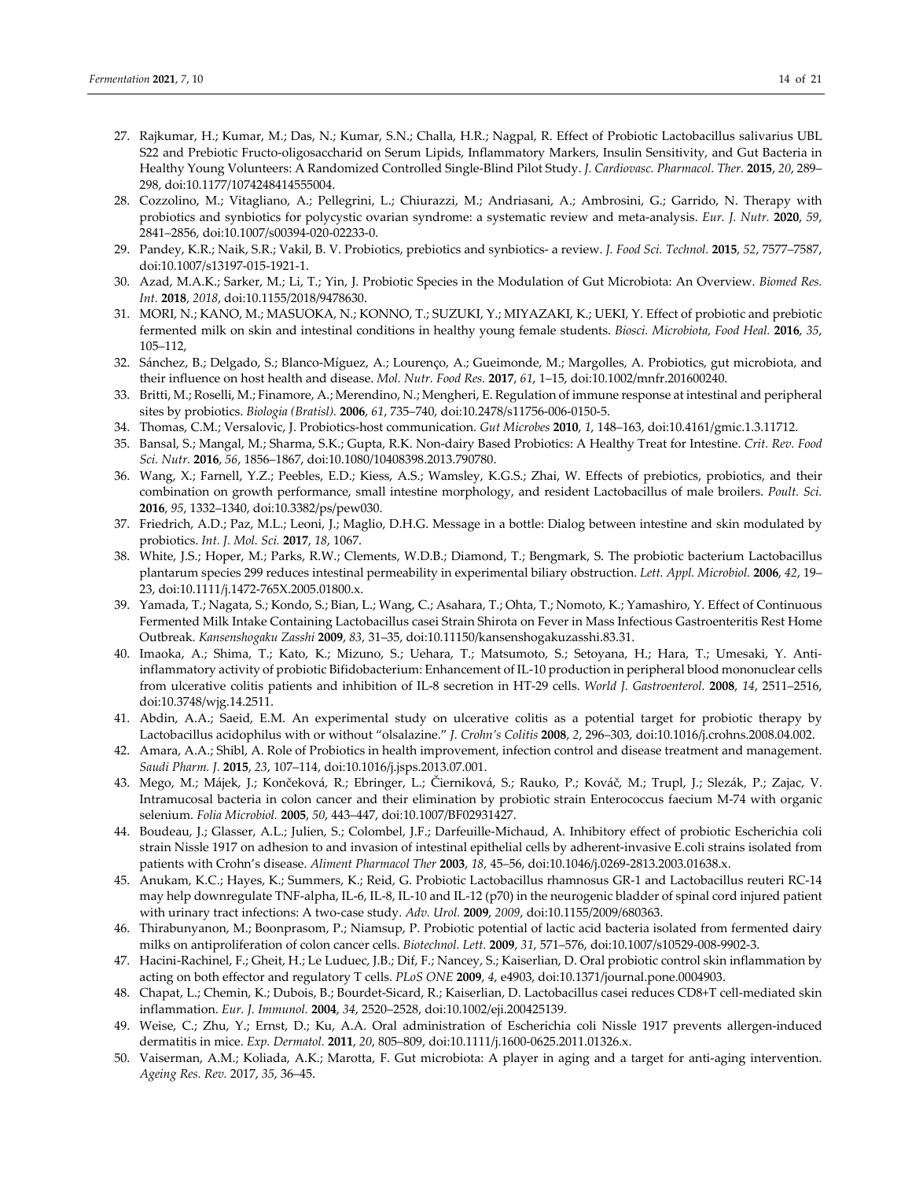- 27. Rajkumar, H.; Kumar, M.; Das, N.; Kumar, S.N.; Challa, H.R.; Nagpal, R. Effect of Probiotic Lactobacillus salivarius UBL S22 and Prebiotic Fructo‐oligosaccharid on Serum Lipids, Inflammatory Markers, Insulin Sensitivity, and Gut Bacteria in Healthy Young Volunteers: A Randomized Controlled Single‐Blind Pilot Study. *J. Cardiovasc. Pharmacol. Ther.* **2015**, *20*, 289– 298, doi:10.1177/1074248414555004.
- 28. Cozzolino, M.; Vitagliano, A.; Pellegrini, L.; Chiurazzi, M.; Andriasani, A.; Ambrosini, G.; Garrido, N. Therapy with probiotics and synbiotics for polycystic ovarian syndrome: a systematic review and meta‐analysis. *Eur. J. Nutr.* **2020**, *59*, 2841–2856, doi:10.1007/s00394‐020‐02233‐0.
- 29. Pandey, K.R.; Naik, S.R.; Vakil, B. V. Probiotics, prebiotics and synbiotics‐ a review. *J. Food Sci. Technol.* **2015**, *52*, 7577–7587, doi:10.1007/s13197‐015‐1921‐1.
- 30. Azad, M.A.K.; Sarker, M.; Li, T.; Yin, J. Probiotic Species in the Modulation of Gut Microbiota: An Overview. *Biomed Res. Int.* **2018**, *2018*, doi:10.1155/2018/9478630.
- 31. MORI, N.; KANO, M.; MASUOKA, N.; KONNO, T.; SUZUKI, Y.; MIYAZAKI, K.; UEKI, Y. Effect of probiotic and prebiotic fermented milk on skin and intestinal conditions in healthy young female students. *Biosci. Microbiota, Food Heal.* **2016**, *35*, 105–112,
- 32. Sánchez, B.; Delgado, S.; Blanco‐Míguez, A.; Lourenço, A.; Gueimonde, M.; Margolles, A. Probiotics, gut microbiota, and their influence on host health and disease. *Mol. Nutr. Food Res.* **2017**, *61*, 1–15, doi:10.1002/mnfr.201600240.
- 33. Britti, M.; Roselli, M.; Finamore, A.; Merendino, N.; Mengheri, E. Regulation of immune response at intestinal and peripheral sites by probiotics. *Biologia (Bratisl).* **2006**, *61*, 735–740, doi:10.2478/s11756‐006‐0150‐5.
- 34. Thomas, C.M.; Versalovic, J. Probiotics‐host communication. *Gut Microbes* **2010**, *1*, 148–163, doi:10.4161/gmic.1.3.11712.
- 35. Bansal, S.; Mangal, M.; Sharma, S.K.; Gupta, R.K. Non‐dairy Based Probiotics: A Healthy Treat for Intestine. *Crit. Rev. Food Sci. Nutr.* **2016**, *56*, 1856–1867, doi:10.1080/10408398.2013.790780.
- 36. Wang, X.; Farnell, Y.Z.; Peebles, E.D.; Kiess, A.S.; Wamsley, K.G.S.; Zhai, W. Effects of prebiotics, probiotics, and their combination on growth performance, small intestine morphology, and resident Lactobacillus of male broilers. *Poult. Sci.* **2016**, *95*, 1332–1340, doi:10.3382/ps/pew030.
- 37. Friedrich, A.D.; Paz, M.L.; Leoni, J.; Maglio, D.H.G. Message in a bottle: Dialog between intestine and skin modulated by probiotics. *Int. J. Mol. Sci.* **2017**, *18*, 1067.
- 38. White, J.S.; Hoper, M.; Parks, R.W.; Clements, W.D.B.; Diamond, T.; Bengmark, S. The probiotic bacterium Lactobacillus plantarum species 299 reduces intestinal permeability in experimental biliary obstruction. *Lett. Appl. Microbiol.* **2006**, *42*, 19– 23, doi:10.1111/j.1472‐765X.2005.01800.x.
- 39. Yamada, T.; Nagata, S.; Kondo, S.; Bian, L.; Wang, C.; Asahara, T.; Ohta, T.; Nomoto, K.; Yamashiro, Y. Effect of Continuous Fermented Milk Intake Containing Lactobacillus casei Strain Shirota on Fever in Mass Infectious Gastroenteritis Rest Home Outbreak. *Kansenshogaku Zasshi* **2009**, *83*, 31–35, doi:10.11150/kansenshogakuzasshi.83.31.
- 40. Imaoka, A.; Shima, T.; Kato, K.; Mizuno, S.; Uehara, T.; Matsumoto, S.; Setoyana, H.; Hara, T.; Umesaki, Y. Anti‐ inflammatory activity of probiotic Bifidobacterium: Enhancement of IL‐10 production in peripheral blood mononuclear cells from ulcerative colitis patients and inhibition of IL‐8 secretion in HT‐29 cells. *World J. Gastroenterol.* **2008**, *14*, 2511–2516, doi:10.3748/wjg.14.2511.
- 41. Abdin, A.A.; Saeid, E.M. An experimental study on ulcerative colitis as a potential target for probiotic therapy by Lactobacillus acidophilus with or without "olsalazine." *J. Crohn's Colitis* **2008**, *2*, 296–303, doi:10.1016/j.crohns.2008.04.002.
- 42. Amara, A.A.; Shibl, A. Role of Probiotics in health improvement, infection control and disease treatment and management. *Saudi Pharm. J.* **2015**, *23*, 107–114, doi:10.1016/j.jsps.2013.07.001.
- 43. Mego, M.; Májek, J.; Končeková, R.; Ebringer, L.; Čierniková, S.; Rauko, P.; Kováč, M.; Trupl, J.; Slezák, P.; Zajac, V. Intramucosal bacteria in colon cancer and their elimination by probiotic strain Enterococcus faecium M‐74 with organic selenium. *Folia Microbiol.* **2005**, *50*, 443–447, doi:10.1007/BF02931427.
- 44. Boudeau, J.; Glasser, A.L.; Julien, S.; Colombel, J.F.; Darfeuille‐Michaud, A. Inhibitory effect of probiotic Escherichia coli strain Nissle 1917 on adhesion to and invasion of intestinal epithelial cells by adherent‐invasive E.coli strains isolated from patients with Crohn's disease. *Aliment Pharmacol Ther* **2003**, *18*, 45–56, doi:10.1046/j.0269‐2813.2003.01638.x.
- 45. Anukam, K.C.; Hayes, K.; Summers, K.; Reid, G. Probiotic Lactobacillus rhamnosus GR‐1 and Lactobacillus reuteri RC‐14 may help downregulate TNF‐alpha, IL‐6, IL‐8, IL‐10 and IL‐12 (p70) in the neurogenic bladder of spinal cord injured patient with urinary tract infections: A two‐case study. *Adv. Urol.* **2009**, *2009*, doi:10.1155/2009/680363.
- 46. Thirabunyanon, M.; Boonprasom, P.; Niamsup, P. Probiotic potential of lactic acid bacteria isolated from fermented dairy milks on antiproliferation of colon cancer cells. *Biotechnol. Lett.* **2009**, *31*, 571–576, doi:10.1007/s10529‐008‐9902‐3.
- 47. Hacini-Rachinel, F.; Gheit, H.; Le Luduec, J.B.; Dif, F.; Nancey, S.; Kaiserlian, D. Oral probiotic control skin inflammation by acting on both effector and regulatory T cells. *PLoS ONE* **2009**, *4*, e4903, doi:10.1371/journal.pone.0004903.
- 48. Chapat, L.; Chemin, K.; Dubois, B.; Bourdet‐Sicard, R.; Kaiserlian, D. Lactobacillus casei reduces CD8+T cell‐mediated skin inflammation. *Eur. J. Immunol.* **2004**, *34*, 2520–2528, doi:10.1002/eji.200425139.
- 49. Weise, C.; Zhu, Y.; Ernst, D.; Ku, A.A. Oral administration of Escherichia coli Nissle 1917 prevents allergen-induced dermatitis in mice. *Exp. Dermatol.* **2011**, *20*, 805–809, doi:10.1111/j.1600‐0625.2011.01326.x.
- 50. Vaiserman, A.M.; Koliada, A.K.; Marotta, F. Gut microbiota: A player in aging and a target for anti‐aging intervention. *Ageing Res. Rev.* 2017, *35*, 36–45.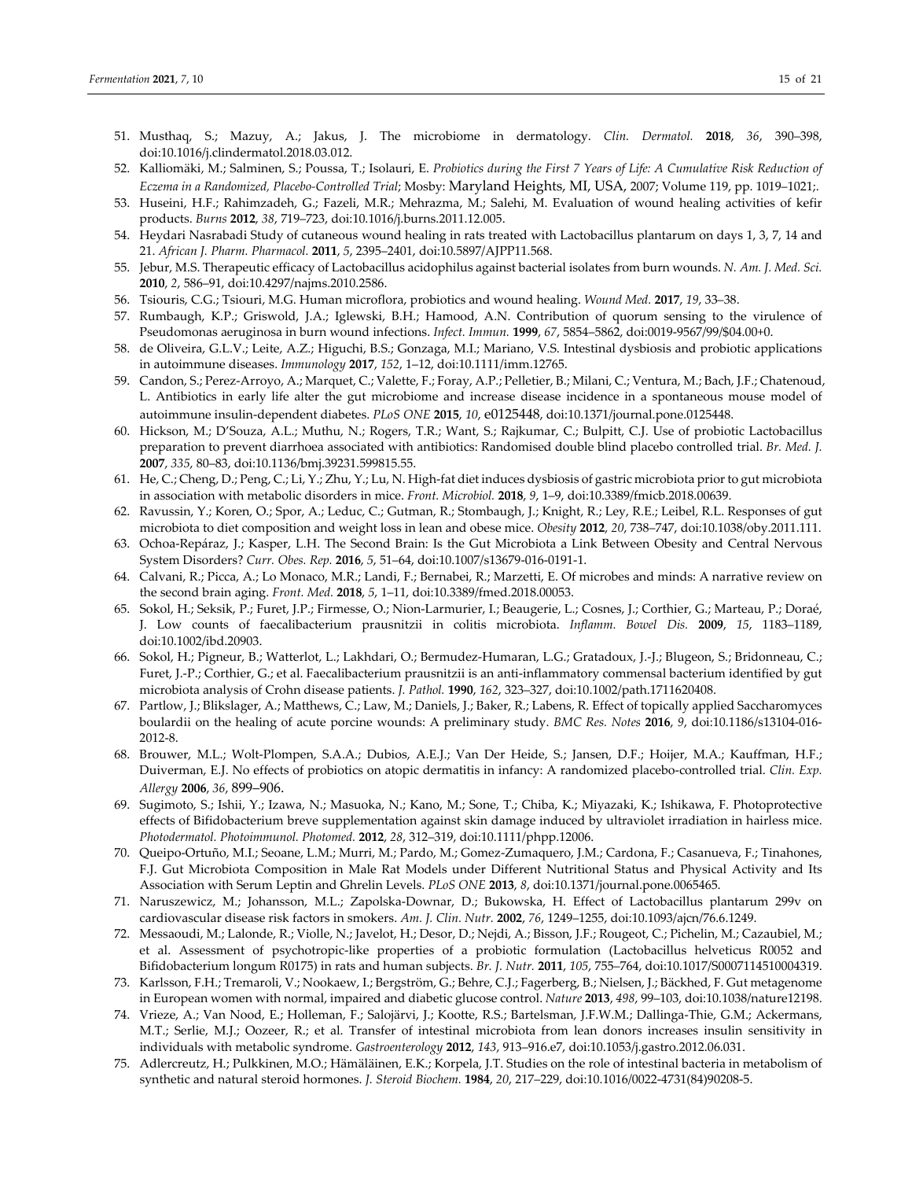- 51. Musthaq, S.; Mazuy, A.; Jakus, J. The microbiome in dermatology. *Clin. Dermatol.* **2018**, *36*, 390–398, doi:10.1016/j.clindermatol.2018.03.012.
- 52. Kalliomäki, M.; Salminen, S.; Poussa, T.; Isolauri, E. Probiotics during the First 7 Years of Life: A Cumulative Risk Reduction of *Eczema in a Randomized, Placebo‐Controlled Trial*; Mosby: Maryland Heights, MI, USA, 2007; Volume 119, pp. 1019–1021;.
- 53. Huseini, H.F.; Rahimzadeh, G.; Fazeli, M.R.; Mehrazma, M.; Salehi, M. Evaluation of wound healing activities of kefir products. *Burns* **2012**, *38*, 719–723, doi:10.1016/j.burns.2011.12.005.
- 54. Heydari Nasrabadi Study of cutaneous wound healing in rats treated with Lactobacillus plantarum on days 1, 3, 7, 14 and 21. *African J. Pharm. Pharmacol.* **2011**, *5*, 2395–2401, doi:10.5897/AJPP11.568.
- 55. Jebur, M.S. Therapeutic efficacy of Lactobacillus acidophilus against bacterial isolates from burn wounds. *N. Am. J. Med. Sci.* **2010**, *2*, 586–91, doi:10.4297/najms.2010.2586.
- 56. Tsiouris, C.G.; Tsiouri, M.G. Human microflora, probiotics and wound healing. *Wound Med.* **2017**, *19*, 33–38.
- 57. Rumbaugh, K.P.; Griswold, J.A.; Iglewski, B.H.; Hamood, A.N. Contribution of quorum sensing to the virulence of Pseudomonas aeruginosa in burn wound infections. *Infect. Immun.* **1999**, *67*, 5854–5862, doi:0019‐9567/99/\$04.00+0.
- 58. de Oliveira, G.L.V.; Leite, A.Z.; Higuchi, B.S.; Gonzaga, M.I.; Mariano, V.S. Intestinal dysbiosis and probiotic applications in autoimmune diseases. *Immunology* **2017**, *152*, 1–12, doi:10.1111/imm.12765.
- 59. Candon, S.; Perez‐Arroyo, A.; Marquet, C.; Valette, F.; Foray, A.P.; Pelletier, B.; Milani, C.; Ventura, M.; Bach, J.F.; Chatenoud, L. Antibiotics in early life alter the gut microbiome and increase disease incidence in a spontaneous mouse model of autoimmune insulin‐dependent diabetes. *PLoS ONE* **2015**, *10*, e0125448, doi:10.1371/journal.pone.0125448.
- 60. Hickson, M.; D'Souza, A.L.; Muthu, N.; Rogers, T.R.; Want, S.; Rajkumar, C.; Bulpitt, C.J. Use of probiotic Lactobacillus preparation to prevent diarrhoea associated with antibiotics: Randomised double blind placebo controlled trial. *Br. Med. J.* **2007**, *335*, 80–83, doi:10.1136/bmj.39231.599815.55.
- 61. He, C.; Cheng, D.; Peng, C.; Li, Y.; Zhu, Y.; Lu, N. High‐fat diet induces dysbiosis of gastric microbiota priorto gut microbiota in association with metabolic disorders in mice. *Front. Microbiol.* **2018**, *9*, 1–9, doi:10.3389/fmicb.2018.00639.
- 62. Ravussin, Y.; Koren, O.; Spor, A.; Leduc, C.; Gutman, R.; Stombaugh, J.; Knight, R.; Ley, R.E.; Leibel, R.L. Responses of gut microbiota to diet composition and weight loss in lean and obese mice. *Obesity* **2012**, *20*, 738–747, doi:10.1038/oby.2011.111.
- 63. Ochoa‐Repáraz, J.; Kasper, L.H. The Second Brain: Is the Gut Microbiota a Link Between Obesity and Central Nervous System Disorders? *Curr. Obes. Rep.* **2016**, *5*, 51–64, doi:10.1007/s13679‐016‐0191‐1.
- 64. Calvani, R.; Picca, A.; Lo Monaco, M.R.; Landi, F.; Bernabei, R.; Marzetti, E. Of microbes and minds: A narrative review on the second brain aging. *Front. Med.* **2018**, *5*, 1–11, doi:10.3389/fmed.2018.00053.
- 65. Sokol, H.; Seksik, P.; Furet, J.P.; Firmesse, O.; Nion‐Larmurier, I.; Beaugerie, L.; Cosnes, J.; Corthier, G.; Marteau, P.; Doraé, J. Low counts of faecalibacterium prausnitzii in colitis microbiota. *Inflamm. Bowel Dis.* **2009**, *15*, 1183–1189, doi:10.1002/ibd.20903.
- 66. Sokol, H.; Pigneur, B.; Watterlot, L.; Lakhdari, O.; Bermudez‐Humaran, L.G.; Gratadoux, J.‐J.; Blugeon, S.; Bridonneau, C.; Furet, J.-P.; Corthier, G.; et al. Faecalibacterium prausnitzii is an anti-inflammatory commensal bacterium identified by gut microbiota analysis of Crohn disease patients. *J. Pathol.* **1990**, *162*, 323–327, doi:10.1002/path.1711620408.
- 67. Partlow, J.; Blikslager, A.; Matthews, C.; Law, M.; Daniels, J.; Baker, R.; Labens, R. Effect of topically applied Saccharomyces boulardii on the healing of acute porcine wounds: A preliminary study. *BMC Res. Notes* **2016**, *9*, doi:10.1186/s13104‐016‐ 2012‐8.
- 68. Brouwer, M.L.; Wolt‐Plompen, S.A.A.; Dubios, A.E.J.; Van Der Heide, S.; Jansen, D.F.; Hoijer, M.A.; Kauffman, H.F.; Duiverman, E.J. No effects of probiotics on atopic dermatitis in infancy: A randomized placebo‐controlled trial. *Clin. Exp. Allergy* **2006**, *36*, 899–906.
- 69. Sugimoto, S.; Ishii, Y.; Izawa, N.; Masuoka, N.; Kano, M.; Sone, T.; Chiba, K.; Miyazaki, K.; Ishikawa, F. Photoprotective effects of Bifidobacterium breve supplementation against skin damage induced by ultraviolet irradiation in hairless mice. *Photodermatol. Photoimmunol. Photomed.* **2012**, *28*, 312–319, doi:10.1111/phpp.12006.
- 70. Queipo‐Ortuño, M.I.; Seoane, L.M.; Murri, M.; Pardo, M.; Gomez‐Zumaquero, J.M.; Cardona, F.; Casanueva, F.; Tinahones, F.J. Gut Microbiota Composition in Male Rat Models under Different Nutritional Status and Physical Activity and Its Association with Serum Leptin and Ghrelin Levels. *PLoS ONE* **2013**, *8*, doi:10.1371/journal.pone.0065465.
- 71. Naruszewicz, M.; Johansson, M.L.; Zapolska‐Downar, D.; Bukowska, H. Effect of Lactobacillus plantarum 299v on cardiovascular disease risk factors in smokers. *Am. J. Clin. Nutr.* **2002**, *76*, 1249–1255, doi:10.1093/ajcn/76.6.1249.
- 72. Messaoudi, M.; Lalonde, R.; Violle, N.; Javelot, H.; Desor, D.; Nejdi, A.; Bisson, J.F.; Rougeot, C.; Pichelin, M.; Cazaubiel, M.; et al. Assessment of psychotropic‐like properties of a probiotic formulation (Lactobacillus helveticus R0052 and Bifidobacterium longum R0175) in rats and human subjects. *Br. J. Nutr.* **2011**, *105*, 755–764, doi:10.1017/S0007114510004319.
- 73. Karlsson, F.H.; Tremaroli, V.; Nookaew, I.; Bergström, G.; Behre, C.J.; Fagerberg, B.; Nielsen, J.; Bäckhed, F. Gut metagenome in European women with normal, impaired and diabetic glucose control. *Nature* **2013**, *498*, 99–103, doi:10.1038/nature12198.
- 74. Vrieze, A.; Van Nood, E.; Holleman, F.; Salojärvi, J.; Kootte, R.S.; Bartelsman, J.F.W.M.; Dallinga‐Thie, G.M.; Ackermans, M.T.; Serlie, M.J.; Oozeer, R.; et al. Transfer of intestinal microbiota from lean donors increases insulin sensitivity in individuals with metabolic syndrome. *Gastroenterology* **2012**, *143*, 913–916.e7, doi:10.1053/j.gastro.2012.06.031.
- 75. Adlercreutz, H.; Pulkkinen, M.O.; Hämäläinen, E.K.; Korpela, J.T. Studies on the role of intestinal bacteria in metabolism of synthetic and natural steroid hormones. *J. Steroid Biochem.* **1984**, *20*, 217–229, doi:10.1016/0022‐4731(84)90208‐5.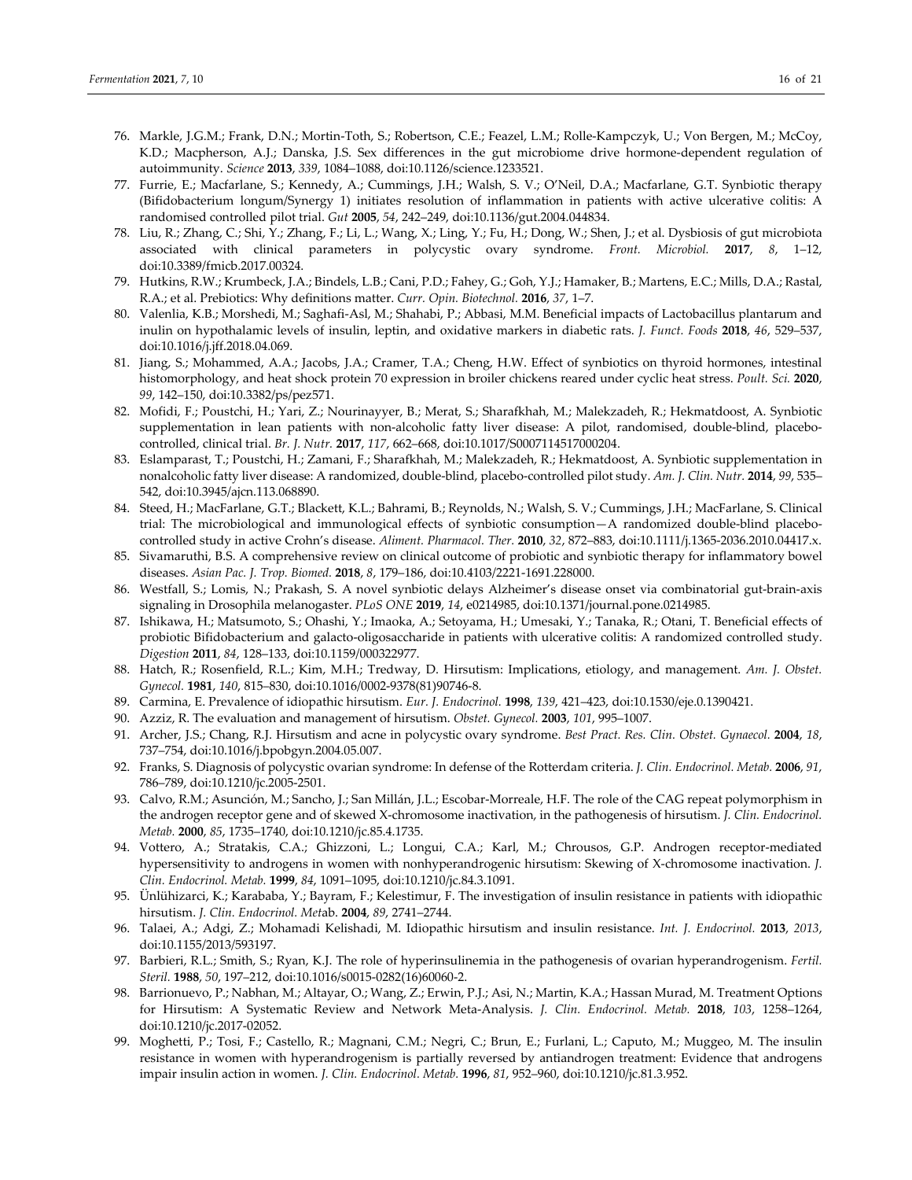- 76. Markle, J.G.M.; Frank, D.N.; Mortin‐Toth, S.; Robertson, C.E.; Feazel, L.M.; Rolle‐Kampczyk, U.; Von Bergen, M.; McCoy, K.D.; Macpherson, A.J.; Danska, J.S. Sex differences in the gut microbiome drive hormone-dependent regulation of autoimmunity. *Science* **2013**, *339*, 1084–1088, doi:10.1126/science.1233521.
- 77. Furrie, E.; Macfarlane, S.; Kennedy, A.; Cummings, J.H.; Walsh, S. V.; O'Neil, D.A.; Macfarlane, G.T. Synbiotic therapy (Bifidobacterium longum/Synergy 1) initiates resolution of inflammation in patients with active ulcerative colitis: A randomised controlled pilot trial. *Gut* **2005**, *54*, 242–249, doi:10.1136/gut.2004.044834.
- 78. Liu, R.; Zhang, C.; Shi, Y.; Zhang, F.; Li, L.; Wang, X.; Ling, Y.; Fu, H.; Dong, W.; Shen, J.; et al. Dysbiosis of gut microbiota associated with clinical parameters in polycystic ovary syndrome. *Front. Microbiol.* **2017**, *8*, 1–12, doi:10.3389/fmicb.2017.00324.
- 79. Hutkins, R.W.; Krumbeck, J.A.; Bindels, L.B.; Cani, P.D.; Fahey, G.; Goh, Y.J.; Hamaker, B.; Martens, E.C.; Mills, D.A.; Rastal, R.A.; et al. Prebiotics: Why definitions matter. *Curr. Opin. Biotechnol.* **2016**, *37*, 1–7.
- 80. Valenlia, K.B.; Morshedi, M.; Saghafi‐Asl, M.; Shahabi, P.; Abbasi, M.M. Beneficial impacts of Lactobacillus plantarum and inulin on hypothalamic levels of insulin, leptin, and oxidative markers in diabetic rats. *J. Funct. Foods* **2018**, *46*, 529–537, doi:10.1016/j.jff.2018.04.069.
- 81. Jiang, S.; Mohammed, A.A.; Jacobs, J.A.; Cramer, T.A.; Cheng, H.W. Effect of synbiotics on thyroid hormones, intestinal histomorphology, and heat shock protein 70 expression in broiler chickens reared under cyclic heat stress. *Poult. Sci.* **2020**, *99*, 142–150, doi:10.3382/ps/pez571.
- 82. Mofidi, F.; Poustchi, H.; Yari, Z.; Nourinayyer, B.; Merat, S.; Sharafkhah, M.; Malekzadeh, R.; Hekmatdoost, A. Synbiotic supplementation in lean patients with non-alcoholic fatty liver disease: A pilot, randomised, double-blind, placebocontrolled, clinical trial. *Br. J. Nutr.* **2017**, *117*, 662–668, doi:10.1017/S0007114517000204.
- 83. Eslamparast, T.; Poustchi, H.; Zamani, F.; Sharafkhah, M.; Malekzadeh, R.; Hekmatdoost, A. Synbiotic supplementation in nonalcoholic fatty liver disease: A randomized, double‐blind, placebo‐controlled pilot study. *Am. J. Clin. Nutr.* **2014**, *99*, 535– 542, doi:10.3945/ajcn.113.068890.
- 84. Steed, H.; MacFarlane, G.T.; Blackett, K.L.; Bahrami, B.; Reynolds, N.; Walsh, S. V.; Cummings, J.H.; MacFarlane, S. Clinical trial: The microbiological and immunological effects of synbiotic consumption—A randomized double‐blind placebo‐ controlled study in active Crohn's disease. *Aliment. Pharmacol. Ther.* **2010**, *32*, 872–883, doi:10.1111/j.1365‐2036.2010.04417.x.
- 85. Sivamaruthi, B.S. A comprehensive review on clinical outcome of probiotic and synbiotic therapy for inflammatory bowel diseases. *Asian Pac. J. Trop. Biomed.* **2018**, *8*, 179–186, doi:10.4103/2221‐1691.228000.
- 86. Westfall, S.; Lomis, N.; Prakash, S. A novel synbiotic delays Alzheimer's disease onset via combinatorial gut-brain-axis signaling in Drosophila melanogaster. *PLoS ONE* **2019**, *14*, e0214985, doi:10.1371/journal.pone.0214985.
- 87. Ishikawa, H.; Matsumoto, S.; Ohashi, Y.; Imaoka, A.; Setoyama, H.; Umesaki, Y.; Tanaka, R.; Otani, T. Beneficial effects of probiotic Bifidobacterium and galacto‐oligosaccharide in patients with ulcerative colitis: A randomized controlled study. *Digestion* **2011**, *84*, 128–133, doi:10.1159/000322977.
- 88. Hatch, R.; Rosenfield, R.L.; Kim, M.H.; Tredway, D. Hirsutism: Implications, etiology, and management. *Am. J. Obstet. Gynecol.* **1981**, *140*, 815–830, doi:10.1016/0002‐9378(81)90746‐8.
- 89. Carmina, E. Prevalence of idiopathic hirsutism. *Eur. J. Endocrinol.* **1998**, *139*, 421–423, doi:10.1530/eje.0.1390421.
- 90. Azziz, R. The evaluation and management of hirsutism. *Obstet. Gynecol.* **2003**, *101*, 995–1007.
- 91. Archer, J.S.; Chang, R.J. Hirsutism and acne in polycystic ovary syndrome. *Best Pract. Res. Clin. Obstet. Gynaecol.* **2004**, *18*, 737–754, doi:10.1016/j.bpobgyn.2004.05.007.
- 92. Franks, S. Diagnosis of polycystic ovarian syndrome: In defense of the Rotterdam criteria. *J. Clin. Endocrinol. Metab.* **2006**, *91*, 786–789, doi:10.1210/jc.2005‐2501.
- 93. Calvo, R.M.; Asunción, M.; Sancho, J.; San Millán, J.L.; Escobar-Morreale, H.F. The role of the CAG repeat polymorphism in the androgen receptor gene and of skewed X‐chromosome inactivation, in the pathogenesis of hirsutism. *J. Clin. Endocrinol. Metab.* **2000**, *85*, 1735–1740, doi:10.1210/jc.85.4.1735.
- 94. Vottero, A.; Stratakis, C.A.; Ghizzoni, L.; Longui, C.A.; Karl, M.; Chrousos, G.P. Androgen receptor-mediated hypersensitivity to androgens in women with nonhyperandrogenic hirsutism: Skewing of X‐chromosome inactivation. *J. Clin. Endocrinol. Metab.* **1999**, *84*, 1091–1095, doi:10.1210/jc.84.3.1091.
- 95. Ünlühizarci, K.; Karababa, Y.; Bayram, F.; Kelestimur, F. The investigation of insulin resistance in patients with idiopathic hirsutism. *J. Clin. Endocrinol. Met*ab. **2004**, *89*, 2741–2744.
- 96. Talaei, A.; Adgi, Z.; Mohamadi Kelishadi, M. Idiopathic hirsutism and insulin resistance. *Int. J. Endocrinol.* **2013**, *2013*, doi:10.1155/2013/593197.
- 97. Barbieri, R.L.; Smith, S.; Ryan, K.J. The role of hyperinsulinemia in the pathogenesis of ovarian hyperandrogenism. *Fertil. Steril.* **1988**, *50*, 197–212, doi:10.1016/s0015‐0282(16)60060‐2.
- 98. Barrionuevo, P.; Nabhan, M.; Altayar, O.; Wang, Z.; Erwin, P.J.; Asi, N.; Martin, K.A.; Hassan Murad, M. Treatment Options for Hirsutism: A Systematic Review and Network Meta‐Analysis. *J. Clin. Endocrinol. Metab.* **2018**, *103*, 1258–1264, doi:10.1210/jc.2017‐02052.
- 99. Moghetti, P.; Tosi, F.; Castello, R.; Magnani, C.M.; Negri, C.; Brun, E.; Furlani, L.; Caputo, M.; Muggeo, M. The insulin resistance in women with hyperandrogenism is partially reversed by antiandrogen treatment: Evidence that androgens impair insulin action in women. *J. Clin. Endocrinol. Metab.* **1996**, *81*, 952–960, doi:10.1210/jc.81.3.952.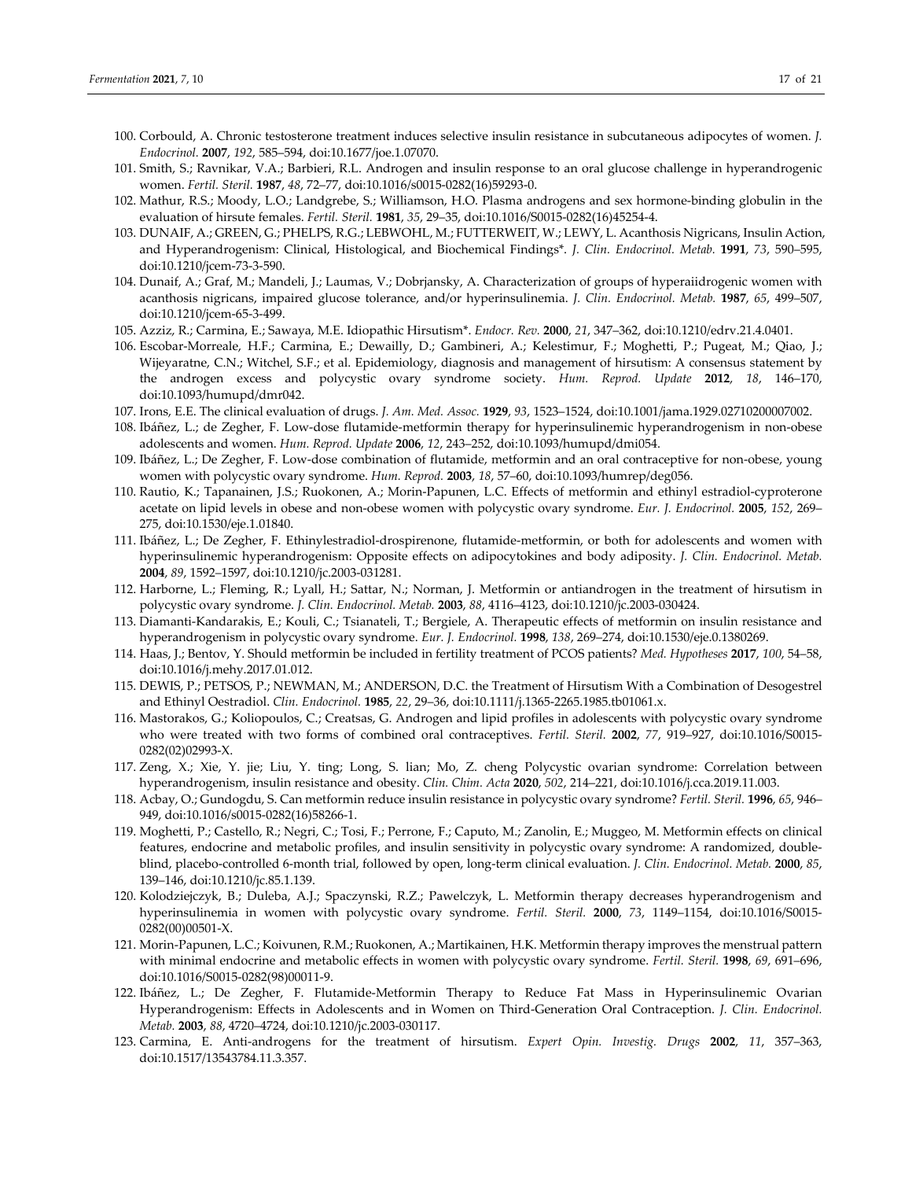- 100. Corbould, A. Chronic testosterone treatment induces selective insulin resistance in subcutaneous adipocytes of women. *J. Endocrinol.* **2007**, *192*, 585–594, doi:10.1677/joe.1.07070.
- 101. Smith, S.; Ravnikar, V.A.; Barbieri, R.L. Androgen and insulin response to an oral glucose challenge in hyperandrogenic women. *Fertil. Steril.* **1987**, *48*, 72–77, doi:10.1016/s0015‐0282(16)59293‐0.
- 102. Mathur, R.S.; Moody, L.O.; Landgrebe, S.; Williamson, H.O. Plasma androgens and sex hormone‐binding globulin in the evaluation of hirsute females. *Fertil. Steril.* **1981**, *35*, 29–35, doi:10.1016/S0015‐0282(16)45254‐4.
- 103. DUNAIF, A.; GREEN, G.; PHELPS, R.G.; LEBWOHL, M.; FUTTERWEIT, W.; LEWY, L. Acanthosis Nigricans, Insulin Action, and Hyperandrogenism: Clinical, Histological, and Biochemical Findings\*. *J. Clin. Endocrinol. Metab.* **1991**, *73*, 590–595, doi:10.1210/jcem‐73‐3‐590.
- 104. Dunaif, A.; Graf, M.; Mandeli, J.; Laumas, V.; Dobrjansky, A. Characterization of groups of hyperaiidrogenic women with acanthosis nigricans, impaired glucose tolerance, and/or hyperinsulinemia. *J. Clin. Endocrinol. Metab.* **1987**, *65*, 499–507, doi:10.1210/jcem‐65‐3‐499.
- 105. Azziz, R.; Carmina, E.; Sawaya, M.E. Idiopathic Hirsutism\*. *Endocr. Rev.* **2000**, *21*, 347–362, doi:10.1210/edrv.21.4.0401.
- 106. Escobar‐Morreale, H.F.; Carmina, E.; Dewailly, D.; Gambineri, A.; Kelestimur, F.; Moghetti, P.; Pugeat, M.; Qiao, J.; Wijeyaratne, C.N.; Witchel, S.F.; et al. Epidemiology, diagnosis and management of hirsutism: A consensus statement by the androgen excess and polycystic ovary syndrome society. *Hum. Reprod. Update* **2012**, *18*, 146–170, doi:10.1093/humupd/dmr042.
- 107. Irons, E.E. The clinical evaluation of drugs. *J. Am. Med. Assoc.* **1929**, *93*, 1523–1524, doi:10.1001/jama.1929.02710200007002.
- 108. Ibáñez, L.; de Zegher, F. Low‐dose flutamide‐metformin therapy for hyperinsulinemic hyperandrogenism in non‐obese adolescents and women. *Hum. Reprod. Update* **2006**, *12*, 243–252, doi:10.1093/humupd/dmi054.
- 109. Ibáñez, L.; De Zegher, F. Low‐dose combination of flutamide, metformin and an oral contraceptive for non‐obese, young women with polycystic ovary syndrome. *Hum. Reprod.* **2003**, *18*, 57–60, doi:10.1093/humrep/deg056.
- 110. Rautio, K.; Tapanainen, J.S.; Ruokonen, A.; Morin‐Papunen, L.C. Effects of metformin and ethinyl estradiol‐cyproterone acetate on lipid levels in obese and non‐obese women with polycystic ovary syndrome. *Eur. J. Endocrinol.* **2005**, *152*, 269– 275, doi:10.1530/eje.1.01840.
- 111. Ibáñez, L.; De Zegher, F. Ethinylestradiol‐drospirenone, flutamide‐metformin, or both for adolescents and women with hyperinsulinemic hyperandrogenism: Opposite effects on adipocytokines and body adiposity. *J. Clin. Endocrinol. Metab.* **2004**, *89*, 1592–1597, doi:10.1210/jc.2003‐031281.
- 112. Harborne, L.; Fleming, R.; Lyall, H.; Sattar, N.; Norman, J. Metformin or antiandrogen in the treatment of hirsutism in polycystic ovary syndrome. *J. Clin. Endocrinol. Metab.* **2003**, *88*, 4116–4123, doi:10.1210/jc.2003‐030424.
- 113. Diamanti‐Kandarakis, E.; Kouli, C.; Tsianateli, T.; Bergiele, A. Therapeutic effects of metformin on insulin resistance and hyperandrogenism in polycystic ovary syndrome. *Eur. J. Endocrinol.* **1998**, *138*, 269–274, doi:10.1530/eje.0.1380269.
- 114. Haas, J.; Bentov, Y. Should metformin be included in fertility treatment of PCOS patients? *Med. Hypotheses* **2017**, *100*, 54–58, doi:10.1016/j.mehy.2017.01.012.
- 115. DEWIS, P.; PETSOS, P.; NEWMAN, M.; ANDERSON, D.C. the Treatment of Hirsutism With a Combination of Desogestrel and Ethinyl Oestradiol. *Clin. Endocrinol.* **1985**, *22*, 29–36, doi:10.1111/j.1365‐2265.1985.tb01061.x.
- 116. Mastorakos, G.; Koliopoulos, C.; Creatsas, G. Androgen and lipid profiles in adolescents with polycystic ovary syndrome who were treated with two forms of combined oral contraceptives. *Fertil. Steril.* **2002**, *77*, 919–927, doi:10.1016/S0015‐ 0282(02)02993‐X.
- 117. Zeng, X.; Xie, Y. jie; Liu, Y. ting; Long, S. lian; Mo, Z. cheng Polycystic ovarian syndrome: Correlation between hyperandrogenism, insulin resistance and obesity. *Clin. Chim. Acta* **2020**, *502*, 214–221, doi:10.1016/j.cca.2019.11.003.
- 118. Acbay, O.; Gundogdu, S. Can metformin reduce insulin resistance in polycystic ovary syndrome? *Fertil. Steril.* **1996**, *65*, 946– 949, doi:10.1016/s0015‐0282(16)58266‐1.
- 119. Moghetti, P.; Castello, R.; Negri, C.; Tosi, F.; Perrone, F.; Caputo, M.; Zanolin, E.; Muggeo, M. Metformin effects on clinical features, endocrine and metabolic profiles, and insulin sensitivity in polycystic ovary syndrome: A randomized, double‐ blind, placebo‐controlled 6‐month trial, followed by open, long‐term clinical evaluation. *J. Clin. Endocrinol. Metab.* **2000**, *85*, 139–146, doi:10.1210/jc.85.1.139.
- 120. Kolodziejczyk, B.; Duleba, A.J.; Spaczynski, R.Z.; Pawelczyk, L. Metformin therapy decreases hyperandrogenism and hyperinsulinemia in women with polycystic ovary syndrome. *Fertil. Steril.* **2000**, *73*, 1149–1154, doi:10.1016/S0015‐ 0282(00)00501‐X.
- 121. Morin‐Papunen, L.C.; Koivunen, R.M.; Ruokonen, A.; Martikainen, H.K. Metformin therapy improves the menstrual pattern with minimal endocrine and metabolic effects in women with polycystic ovary syndrome. *Fertil. Steril.* **1998**, *69*, 691–696, doi:10.1016/S0015‐0282(98)00011‐9.
- 122. Ibáñez, L.; De Zegher, F. Flutamide‐Metformin Therapy to Reduce Fat Mass in Hyperinsulinemic Ovarian Hyperandrogenism: Effects in Adolescents and in Women on Third‐Generation Oral Contraception. *J. Clin. Endocrinol. Metab.* **2003**, *88*, 4720–4724, doi:10.1210/jc.2003‐030117.
- 123. Carmina, E. Anti‐androgens for the treatment of hirsutism. *Expert Opin. Investig. Drugs* **2002**, *11*, 357–363, doi:10.1517/13543784.11.3.357.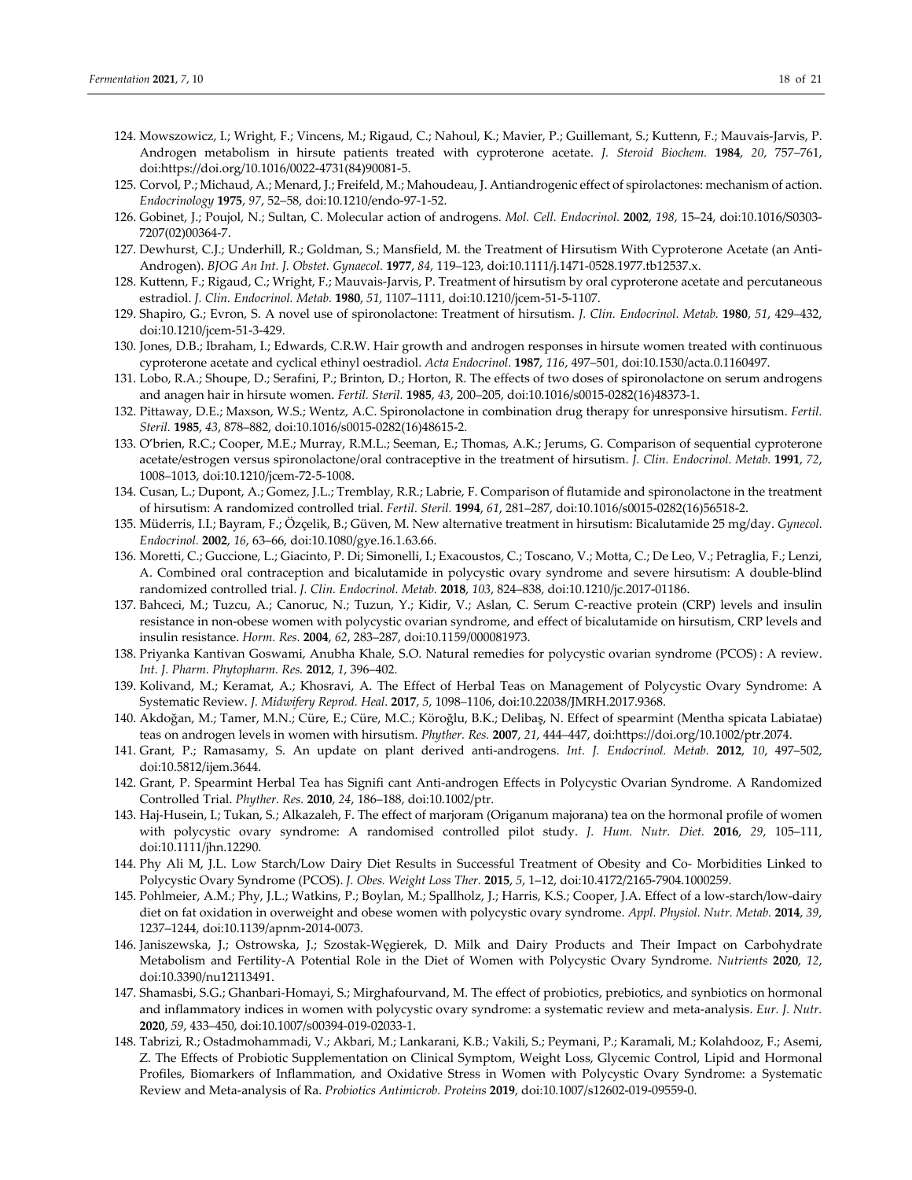- 124. Mowszowicz, I.; Wright, F.; Vincens, M.; Rigaud, C.; Nahoul, K.; Mavier, P.; Guillemant, S.; Kuttenn, F.; Mauvais‐Jarvis, P. Androgen metabolism in hirsute patients treated with cyproterone acetate. *J. Steroid Biochem.* **1984**, *20*, 757–761, doi:https://doi.org/10.1016/0022‐4731(84)90081‐5.
- 125. Corvol, P.; Michaud, A.; Menard, J.; Freifeld, M.; Mahoudeau, J. Antiandrogenic effect of spirolactones: mechanism of action. *Endocrinology* **1975**, *97*, 52–58, doi:10.1210/endo‐97‐1‐52.
- 126. Gobinet, J.; Poujol, N.; Sultan, C. Molecular action of androgens. *Mol. Cell. Endocrinol.* **2002**, *198*, 15–24, doi:10.1016/S0303‐ 7207(02)00364‐7.
- 127. Dewhurst, C.J.; Underhill, R.; Goldman, S.; Mansfield, M. the Treatment of Hirsutism With Cyproterone Acetate (an Anti‐ Androgen). *BJOG An Int. J. Obstet. Gynaecol.* **1977**, *84*, 119–123, doi:10.1111/j.1471‐0528.1977.tb12537.x.
- 128. Kuttenn, F.; Rigaud, C.; Wright, F.; Mauvais‐Jarvis, P. Treatment of hirsutism by oral cyproterone acetate and percutaneous estradiol. *J. Clin. Endocrinol. Metab.* **1980**, *51*, 1107–1111, doi:10.1210/jcem‐51‐5‐1107.
- 129. Shapiro, G.; Evron, S. A novel use of spironolactone: Treatment of hirsutism. *J. Clin. Endocrinol. Metab.* **1980**, *51*, 429–432, doi:10.1210/jcem‐51‐3‐429.
- 130. Jones, D.B.; Ibraham, I.; Edwards, C.R.W. Hair growth and androgen responses in hirsute women treated with continuous cyproterone acetate and cyclical ethinyl oestradiol. *Acta Endocrinol.* **1987**, *116*, 497–501, doi:10.1530/acta.0.1160497.
- 131. Lobo, R.A.; Shoupe, D.; Serafini, P.; Brinton, D.; Horton, R. The effects of two doses of spironolactone on serum androgens and anagen hair in hirsute women. *Fertil. Steril.* **1985**, *43*, 200–205, doi:10.1016/s0015‐0282(16)48373‐1.
- 132. Pittaway, D.E.; Maxson, W.S.; Wentz, A.C. Spironolactone in combination drug therapy for unresponsive hirsutism. *Fertil. Steril.* **1985**, *43*, 878–882, doi:10.1016/s0015‐0282(16)48615‐2.
- 133. O'brien, R.C.; Cooper, M.E.; Murray, R.M.L.; Seeman, E.; Thomas, A.K.; Jerums, G. Comparison of sequential cyproterone acetate/estrogen versus spironolactone/oral contraceptive in the treatment of hirsutism. *J. Clin. Endocrinol. Metab.* **1991**, *72*, 1008–1013, doi:10.1210/jcem‐72‐5‐1008.
- 134. Cusan, L.; Dupont, A.; Gomez, J.L.; Tremblay, R.R.; Labrie, F. Comparison of flutamide and spironolactone in the treatment of hirsutism: A randomized controlled trial. *Fertil. Steril.* **1994**, *61*, 281–287, doi:10.1016/s0015‐0282(16)56518‐2.
- 135. Müderris, I.I.; Bayram, F.; Özçelik, B.; Güven, M. New alternative treatment in hirsutism: Bicalutamide 25 mg/day. *Gynecol. Endocrinol.* **2002**, *16*, 63–66, doi:10.1080/gye.16.1.63.66.
- 136. Moretti, C.; Guccione, L.; Giacinto, P. Di; Simonelli, I.; Exacoustos, C.; Toscano, V.; Motta, C.; De Leo, V.; Petraglia, F.; Lenzi, A. Combined oral contraception and bicalutamide in polycystic ovary syndrome and severe hirsutism: A double‐blind randomized controlled trial. *J. Clin. Endocrinol. Metab.* **2018**, *103*, 824–838, doi:10.1210/jc.2017‐01186.
- 137. Bahceci, M.; Tuzcu, A.; Canoruc, N.; Tuzun, Y.; Kidir, V.; Aslan, C. Serum C-reactive protein (CRP) levels and insulin resistance in non‐obese women with polycystic ovarian syndrome, and effect of bicalutamide on hirsutism, CRP levels and insulin resistance. *Horm. Res.* **2004**, *62*, 283–287, doi:10.1159/000081973.
- 138. Priyanka Kantivan Goswami, Anubha Khale, S.O. Natural remedies for polycystic ovarian syndrome (PCOS) : A review. *Int. J. Pharm. Phytopharm. Res.* **2012**, *1*, 396–402.
- 139. Kolivand, M.; Keramat, A.; Khosravi, A. The Effect of Herbal Teas on Management of Polycystic Ovary Syndrome: A Systematic Review. *J. Midwifery Reprod. Heal.* **2017**, *5*, 1098–1106, doi:10.22038/JMRH.2017.9368.
- 140. Akdoğan, M.; Tamer, M.N.; Cüre, E.; Cüre, M.C.; Köroğlu, B.K.; Delibaş, N. Effect of spearmint (Mentha spicata Labiatae) teas on androgen levels in women with hirsutism. *Phyther. Res.* **2007**, *21*, 444–447, doi:https://doi.org/10.1002/ptr.2074.
- 141. Grant, P.; Ramasamy, S. An update on plant derived anti‐androgens. *Int. J. Endocrinol. Metab.* **2012**, *10*, 497–502, doi:10.5812/ijem.3644.
- 142. Grant, P. Spearmint Herbal Tea has Signifi cant Anti‐androgen Effects in Polycystic Ovarian Syndrome. A Randomized Controlled Trial. *Phyther. Res.* **2010**, *24*, 186–188, doi:10.1002/ptr.
- 143. Haj‐Husein, I.; Tukan, S.; Alkazaleh, F. The effect of marjoram (Origanum majorana) tea on the hormonal profile of women with polycystic ovary syndrome: A randomised controlled pilot study. *J. Hum. Nutr. Diet.* **2016**, *29*, 105–111, doi:10.1111/jhn.12290.
- 144. Phy Ali M, J.L. Low Starch/Low Dairy Diet Results in Successful Treatment of Obesity and Co‐ Morbidities Linked to Polycystic Ovary Syndrome (PCOS). *J. Obes. Weight Loss Ther.* **2015**, *5*, 1–12, doi:10.4172/2165‐7904.1000259.
- 145. Pohlmeier, A.M.; Phy, J.L.; Watkins, P.; Boylan, M.; Spallholz, J.; Harris, K.S.; Cooper, J.A. Effect of a low‐starch/low‐dairy diet on fat oxidation in overweight and obese women with polycystic ovary syndrome. *Appl. Physiol. Nutr. Metab.* **2014**, *39*, 1237–1244, doi:10.1139/apnm‐2014‐0073.
- 146. Janiszewska, J.; Ostrowska, J.; Szostak‐Węgierek, D. Milk and Dairy Products and Their Impact on Carbohydrate Metabolism and Fertility‐A Potential Role in the Diet of Women with Polycystic Ovary Syndrome. *Nutrients* **2020**, *12*, doi:10.3390/nu12113491.
- 147. Shamasbi, S.G.; Ghanbari‐Homayi, S.; Mirghafourvand, M. The effect of probiotics, prebiotics, and synbiotics on hormonal and inflammatory indices in women with polycystic ovary syndrome: a systematic review and meta‐analysis. *Eur. J. Nutr.* **2020**, *59*, 433–450, doi:10.1007/s00394‐019‐02033‐1.
- 148. Tabrizi, R.; Ostadmohammadi, V.; Akbari, M.; Lankarani, K.B.; Vakili, S.; Peymani, P.; Karamali, M.; Kolahdooz, F.; Asemi, Z. The Effects of Probiotic Supplementation on Clinical Symptom, Weight Loss, Glycemic Control, Lipid and Hormonal Profiles, Biomarkers of Inflammation, and Oxidative Stress in Women with Polycystic Ovary Syndrome: a Systematic Review and Meta‐analysis of Ra. *Probiotics Antimicrob. Proteins* **2019**, doi:10.1007/s12602‐019‐09559‐0.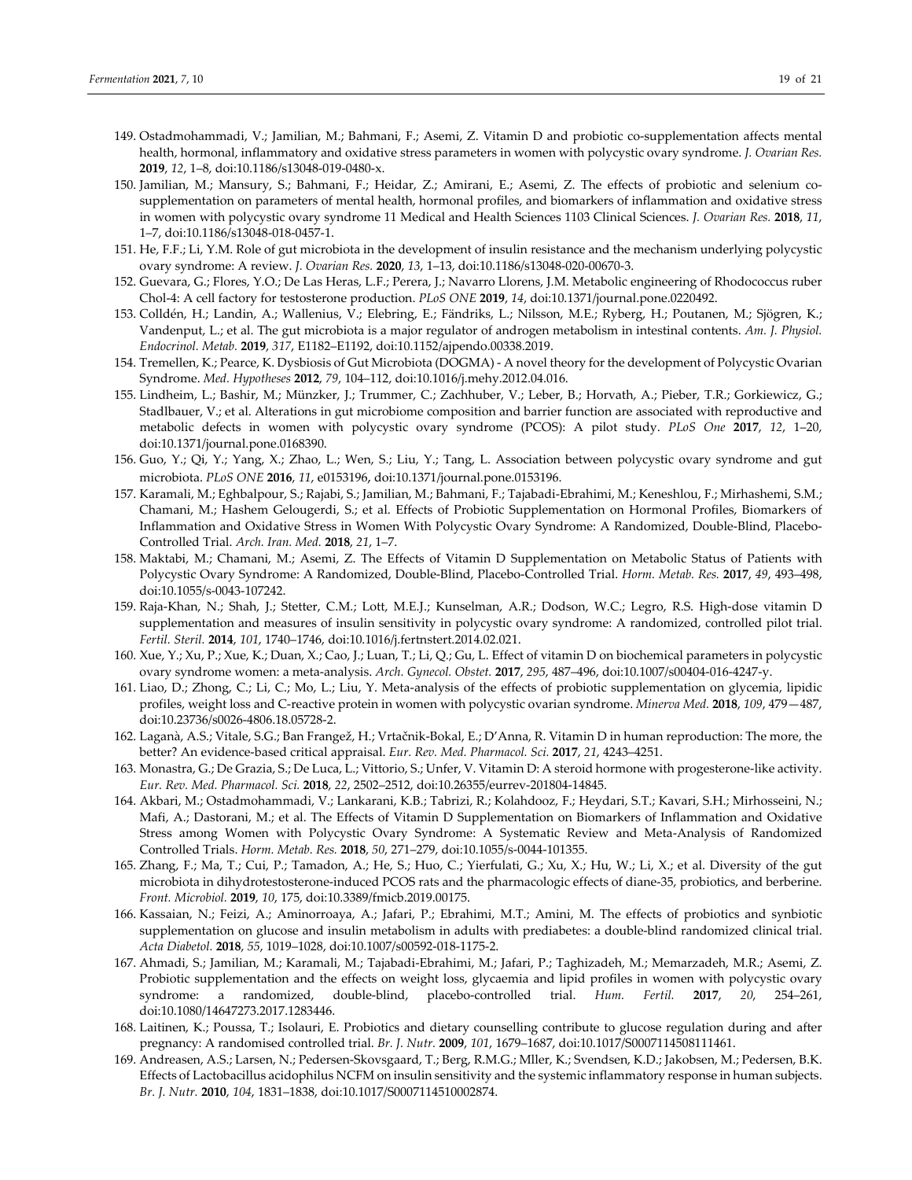- 149. Ostadmohammadi, V.; Jamilian, M.; Bahmani, F.; Asemi, Z. Vitamin D and probiotic co-supplementation affects mental health, hormonal, inflammatory and oxidative stress parameters in women with polycystic ovary syndrome. *J. Ovarian Res.* **2019**, *12*, 1–8, doi:10.1186/s13048‐019‐0480‐x.
- 150. Jamilian, M.; Mansury, S.; Bahmani, F.; Heidar, Z.; Amirani, E.; Asemi, Z. The effects of probiotic and selenium co‐ supplementation on parameters of mental health, hormonal profiles, and biomarkers of inflammation and oxidative stress in women with polycystic ovary syndrome 11 Medical and Health Sciences 1103 Clinical Sciences. *J. Ovarian Res.* **2018**, *11*, 1–7, doi:10.1186/s13048‐018‐0457‐1.
- 151. He, F.F.; Li, Y.M. Role of gut microbiota in the development of insulin resistance and the mechanism underlying polycystic ovary syndrome: A review. *J. Ovarian Res.* **2020**, *13*, 1–13, doi:10.1186/s13048‐020‐00670‐3.
- 152. Guevara, G.; Flores, Y.O.; De Las Heras, L.F.; Perera, J.; Navarro Llorens, J.M. Metabolic engineering of Rhodococcus ruber Chol‐4: A cell factory for testosterone production. *PLoS ONE* **2019**, *14*, doi:10.1371/journal.pone.0220492.
- 153. Colldén, H.; Landin, A.; Wallenius, V.; Elebring, E.; Fändriks, L.; Nilsson, M.E.; Ryberg, H.; Poutanen, M.; Sjögren, K.; Vandenput, L.; et al. The gut microbiota is a major regulator of androgen metabolism in intestinal contents. *Am. J. Physiol. Endocrinol. Metab.* **2019**, *317*, E1182–E1192, doi:10.1152/ajpendo.00338.2019.
- 154. Tremellen, K.; Pearce, K. Dysbiosis of Gut Microbiota (DOGMA) ‐ A novel theory for the development of Polycystic Ovarian Syndrome. *Med. Hypotheses* **2012**, *79*, 104–112, doi:10.1016/j.mehy.2012.04.016.
- 155. Lindheim, L.; Bashir, M.; Münzker, J.; Trummer, C.; Zachhuber, V.; Leber, B.; Horvath, A.; Pieber, T.R.; Gorkiewicz, G.; Stadlbauer, V.; et al. Alterations in gut microbiome composition and barrier function are associated with reproductive and metabolic defects in women with polycystic ovary syndrome (PCOS): A pilot study. *PLoS One* **2017**, *12*, 1–20, doi:10.1371/journal.pone.0168390.
- 156. Guo, Y.; Qi, Y.; Yang, X.; Zhao, L.; Wen, S.; Liu, Y.; Tang, L. Association between polycystic ovary syndrome and gut microbiota. *PLoS ONE* **2016**, *11*, e0153196, doi:10.1371/journal.pone.0153196.
- 157. Karamali, M.; Eghbalpour, S.; Rajabi, S.; Jamilian, M.; Bahmani, F.; Tajabadi‐Ebrahimi, M.; Keneshlou, F.; Mirhashemi, S.M.; Chamani, M.; Hashem Gelougerdi, S.; et al. Effects of Probiotic Supplementation on Hormonal Profiles, Biomarkers of Inflammation and Oxidative Stress in Women With Polycystic Ovary Syndrome: A Randomized, Double‐Blind, Placebo‐ Controlled Trial. *Arch. Iran. Med.* **2018**, *21*, 1–7.
- 158. Maktabi, M.; Chamani, M.; Asemi, Z. The Effects of Vitamin D Supplementation on Metabolic Status of Patients with Polycystic Ovary Syndrome: A Randomized, Double‐Blind, Placebo‐Controlled Trial. *Horm. Metab. Res.* **2017**, *49*, 493–498, doi:10.1055/s‐0043‐107242.
- 159. Raja‐Khan, N.; Shah, J.; Stetter, C.M.; Lott, M.E.J.; Kunselman, A.R.; Dodson, W.C.; Legro, R.S. High‐dose vitamin D supplementation and measures of insulin sensitivity in polycystic ovary syndrome: A randomized, controlled pilot trial. *Fertil. Steril.* **2014**, *101*, 1740–1746, doi:10.1016/j.fertnstert.2014.02.021.
- 160. Xue, Y.; Xu, P.; Xue, K.; Duan, X.; Cao, J.; Luan, T.; Li, Q.; Gu, L. Effect of vitamin D on biochemical parameters in polycystic ovary syndrome women: a meta‐analysis. *Arch. Gynecol. Obstet.* **2017**, *295*, 487–496, doi:10.1007/s00404‐016‐4247‐y.
- 161. Liao, D.; Zhong, C.; Li, C.; Mo, L.; Liu, Y. Meta‐analysis of the effects of probiotic supplementation on glycemia, lipidic profiles, weight loss and C‐reactive protein in women with polycystic ovarian syndrome. *Minerva Med.* **2018**, *109*, 479—487, doi:10.23736/s0026‐4806.18.05728‐2.
- 162. Laganà, A.S.; Vitale, S.G.; Ban Frangež, H.; Vrtačnik‐Bokal, E.; D'Anna, R. Vitamin D in human reproduction: The more, the better? An evidence‐based critical appraisal. *Eur. Rev. Med. Pharmacol. Sci.* **2017**, *21*, 4243–4251.
- 163. Monastra, G.; De Grazia, S.; De Luca, L.; Vittorio, S.; Unfer, V. Vitamin D: A steroid hormone with progesterone‐like activity. *Eur. Rev. Med. Pharmacol. Sci.* **2018**, *22*, 2502–2512, doi:10.26355/eurrev‐201804‐14845.
- 164. Akbari, M.; Ostadmohammadi, V.; Lankarani, K.B.; Tabrizi, R.; Kolahdooz, F.; Heydari, S.T.; Kavari, S.H.; Mirhosseini, N.; Mafi, A.; Dastorani, M.; et al. The Effects of Vitamin D Supplementation on Biomarkers of Inflammation and Oxidative Stress among Women with Polycystic Ovary Syndrome: A Systematic Review and Meta‐Analysis of Randomized Controlled Trials. *Horm. Metab. Res.* **2018**, *50*, 271–279, doi:10.1055/s‐0044‐101355.
- 165. Zhang, F.; Ma, T.; Cui, P.; Tamadon, A.; He, S.; Huo, C.; Yierfulati, G.; Xu, X.; Hu, W.; Li, X.; et al. Diversity of the gut microbiota in dihydrotestosterone‐induced PCOS rats and the pharmacologic effects of diane‐35, probiotics, and berberine. *Front. Microbiol.* **2019**, *10*, 175, doi:10.3389/fmicb.2019.00175.
- 166. Kassaian, N.; Feizi, A.; Aminorroaya, A.; Jafari, P.; Ebrahimi, M.T.; Amini, M. The effects of probiotics and synbiotic supplementation on glucose and insulin metabolism in adults with prediabetes: a double-blind randomized clinical trial. *Acta Diabetol.* **2018**, *55*, 1019–1028, doi:10.1007/s00592‐018‐1175‐2.
- 167. Ahmadi, S.; Jamilian, M.; Karamali, M.; Tajabadi‐Ebrahimi, M.; Jafari, P.; Taghizadeh, M.; Memarzadeh, M.R.; Asemi, Z. Probiotic supplementation and the effects on weight loss, glycaemia and lipid profiles in women with polycystic ovary syndrome: a randomized, double‐blind, placebo‐controlled trial. *Hum. Fertil.* **2017**, *20*, 254–261, doi:10.1080/14647273.2017.1283446.
- 168. Laitinen, K.; Poussa, T.; Isolauri, E. Probiotics and dietary counselling contribute to glucose regulation during and after pregnancy: A randomised controlled trial. *Br. J. Nutr.* **2009**, *101*, 1679–1687, doi:10.1017/S0007114508111461.
- 169. Andreasen, A.S.; Larsen, N.; Pedersen‐Skovsgaard, T.; Berg, R.M.G.; Mller, K.; Svendsen, K.D.; Jakobsen, M.; Pedersen, B.K. Effects of Lactobacillus acidophilus NCFM on insulin sensitivity and the systemic inflammatory response in human subjects. *Br. J. Nutr.* **2010**, *104*, 1831–1838, doi:10.1017/S0007114510002874.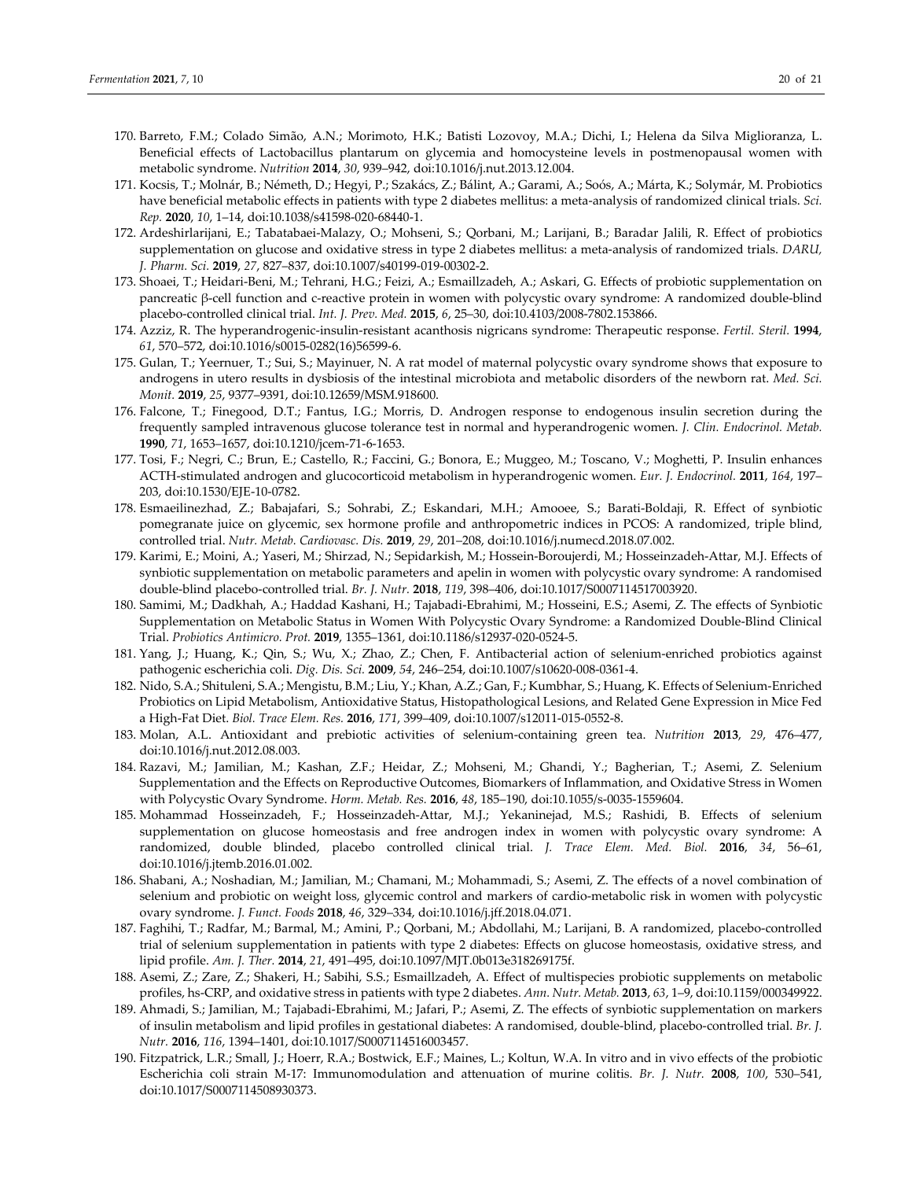- 170. Barreto, F.M.; Colado Simão, A.N.; Morimoto, H.K.; Batisti Lozovoy, M.A.; Dichi, I.; Helena da Silva Miglioranza, L. Beneficial effects of Lactobacillus plantarum on glycemia and homocysteine levels in postmenopausal women with metabolic syndrome. *Nutrition* **2014**, *30*, 939–942, doi:10.1016/j.nut.2013.12.004.
- 171. Kocsis, T.; Molnár, B.; Németh, D.; Hegyi, P.; Szakács, Z.; Bálint, A.; Garami, A.; Soós, A.; Márta, K.; Solymár, M. Probiotics have beneficial metabolic effects in patients with type 2 diabetes mellitus: a meta‐analysis of randomized clinical trials. *Sci. Rep.* **2020**, *10*, 1–14, doi:10.1038/s41598‐020‐68440‐1.
- 172. Ardeshirlarijani, E.; Tabatabaei‐Malazy, O.; Mohseni, S.; Qorbani, M.; Larijani, B.; Baradar Jalili, R. Effect of probiotics supplementation on glucose and oxidative stress in type 2 diabetes mellitus: a meta‐analysis of randomized trials. *DARU, J. Pharm. Sci.* **2019**, *27*, 827–837, doi:10.1007/s40199‐019‐00302‐2.
- 173. Shoaei, T.; Heidari‐Beni, M.; Tehrani, H.G.; Feizi, A.; Esmaillzadeh, A.; Askari, G. Effects of probiotic supplementation on pancreatic β‐cell function and c‐reactive protein in women with polycystic ovary syndrome: A randomized double‐blind placebo‐controlled clinical trial. *Int. J. Prev. Med.* **2015**, *6*, 25–30, doi:10.4103/2008‐7802.153866.
- 174. Azziz, R. The hyperandrogenic‐insulin‐resistant acanthosis nigricans syndrome: Therapeutic response. *Fertil. Steril.* **1994**, *61*, 570–572, doi:10.1016/s0015‐0282(16)56599‐6.
- 175. Gulan, T.; Yeernuer, T.; Sui, S.; Mayinuer, N. A rat model of maternal polycystic ovary syndrome shows that exposure to androgens in utero results in dysbiosis of the intestinal microbiota and metabolic disorders of the newborn rat. *Med. Sci. Monit.* **2019**, *25*, 9377–9391, doi:10.12659/MSM.918600.
- 176. Falcone, T.; Finegood, D.T.; Fantus, I.G.; Morris, D. Androgen response to endogenous insulin secretion during the frequently sampled intravenous glucose tolerance test in normal and hyperandrogenic women. *J. Clin. Endocrinol. Metab.* **1990**, *71*, 1653–1657, doi:10.1210/jcem‐71‐6‐1653.
- 177. Tosi, F.; Negri, C.; Brun, E.; Castello, R.; Faccini, G.; Bonora, E.; Muggeo, M.; Toscano, V.; Moghetti, P. Insulin enhances ACTH‐stimulated androgen and glucocorticoid metabolism in hyperandrogenic women. *Eur. J. Endocrinol.* **2011**, *164*, 197– 203, doi:10.1530/EJE‐10‐0782.
- 178. Esmaeilinezhad, Z.; Babajafari, S.; Sohrabi, Z.; Eskandari, M.H.; Amooee, S.; Barati‐Boldaji, R. Effect of synbiotic pomegranate juice on glycemic, sex hormone profile and anthropometric indices in PCOS: A randomized, triple blind, controlled trial. *Nutr. Metab. Cardiovasc. Dis.* **2019**, *29*, 201–208, doi:10.1016/j.numecd.2018.07.002.
- 179. Karimi, E.; Moini, A.; Yaseri, M.; Shirzad, N.; Sepidarkish, M.; Hossein‐Boroujerdi, M.; Hosseinzadeh‐Attar, M.J. Effects of synbiotic supplementation on metabolic parameters and apelin in women with polycystic ovary syndrome: A randomised double‐blind placebo‐controlled trial. *Br. J. Nutr.* **2018**, *119*, 398–406, doi:10.1017/S0007114517003920.
- 180. Samimi, M.; Dadkhah, A.; Haddad Kashani, H.; Tajabadi‐Ebrahimi, M.; Hosseini, E.S.; Asemi, Z. The effects of Synbiotic Supplementation on Metabolic Status in Women With Polycystic Ovary Syndrome: a Randomized Double‐Blind Clinical Trial. *Probiotics Antimicro. Prot.* **2019**, 1355–1361, doi:10.1186/s12937‐020‐0524‐5.
- 181. Yang, J.; Huang, K.; Qin, S.; Wu, X.; Zhao, Z.; Chen, F. Antibacterial action of selenium‐enriched probiotics against pathogenic escherichia coli. *Dig. Dis. Sci.* **2009**, *54*, 246–254, doi:10.1007/s10620‐008‐0361‐4.
- 182. Nido, S.A.; Shituleni, S.A.; Mengistu, B.M.; Liu, Y.; Khan, A.Z.; Gan, F.; Kumbhar, S.; Huang, K. Effects of Selenium‐Enriched Probiotics on Lipid Metabolism, Antioxidative Status, Histopathological Lesions, and Related Gene Expression in Mice Fed a High‐Fat Diet. *Biol. Trace Elem. Res.* **2016**, *171*, 399–409, doi:10.1007/s12011‐015‐0552‐8.
- 183. Molan, A.L. Antioxidant and prebiotic activities of selenium‐containing green tea. *Nutrition* **2013**, *29*, 476–477, doi:10.1016/j.nut.2012.08.003.
- 184. Razavi, M.; Jamilian, M.; Kashan, Z.F.; Heidar, Z.; Mohseni, M.; Ghandi, Y.; Bagherian, T.; Asemi, Z. Selenium Supplementation and the Effects on Reproductive Outcomes, Biomarkers of Inflammation, and Oxidative Stress in Women with Polycystic Ovary Syndrome. *Horm. Metab. Res.* **2016**, *48*, 185–190, doi:10.1055/s‐0035‐1559604.
- 185. Mohammad Hosseinzadeh, F.; Hosseinzadeh‐Attar, M.J.; Yekaninejad, M.S.; Rashidi, B. Effects of selenium supplementation on glucose homeostasis and free androgen index in women with polycystic ovary syndrome: A randomized, double blinded, placebo controlled clinical trial. *J. Trace Elem. Med. Biol.* **2016**, *34*, 56–61, doi:10.1016/j.jtemb.2016.01.002.
- 186. Shabani, A.; Noshadian, M.; Jamilian, M.; Chamani, M.; Mohammadi, S.; Asemi, Z. The effects of a novel combination of selenium and probiotic on weight loss, glycemic control and markers of cardio‐metabolic risk in women with polycystic ovary syndrome. *J. Funct. Foods* **2018**, *46*, 329–334, doi:10.1016/j.jff.2018.04.071.
- 187. Faghihi, T.; Radfar, M.; Barmal, M.; Amini, P.; Qorbani, M.; Abdollahi, M.; Larijani, B. A randomized, placebo‐controlled trial of selenium supplementation in patients with type 2 diabetes: Effects on glucose homeostasis, oxidative stress, and lipid profile. *Am. J. Ther.* **2014**, *21*, 491–495, doi:10.1097/MJT.0b013e318269175f.
- 188. Asemi, Z.; Zare, Z.; Shakeri, H.; Sabihi, S.S.; Esmaillzadeh, A. Effect of multispecies probiotic supplements on metabolic profiles, hs‐CRP, and oxidative stress in patients with type 2 diabetes. *Ann. Nutr. Metab.* **2013**, *63*, 1–9, doi:10.1159/000349922.
- 189. Ahmadi, S.; Jamilian, M.; Tajabadi‐Ebrahimi, M.; Jafari, P.; Asemi, Z. The effects of synbiotic supplementation on markers of insulin metabolism and lipid profiles in gestational diabetes: A randomised, double‐blind, placebo‐controlled trial. *Br. J. Nutr.* **2016**, *116*, 1394–1401, doi:10.1017/S0007114516003457.
- 190. Fitzpatrick, L.R.; Small, J.; Hoerr, R.A.; Bostwick, E.F.; Maines, L.; Koltun, W.A. In vitro and in vivo effects of the probiotic Escherichia coli strain M‐17: Immunomodulation and attenuation of murine colitis. *Br. J. Nutr.* **2008**, *100*, 530–541, doi:10.1017/S0007114508930373.